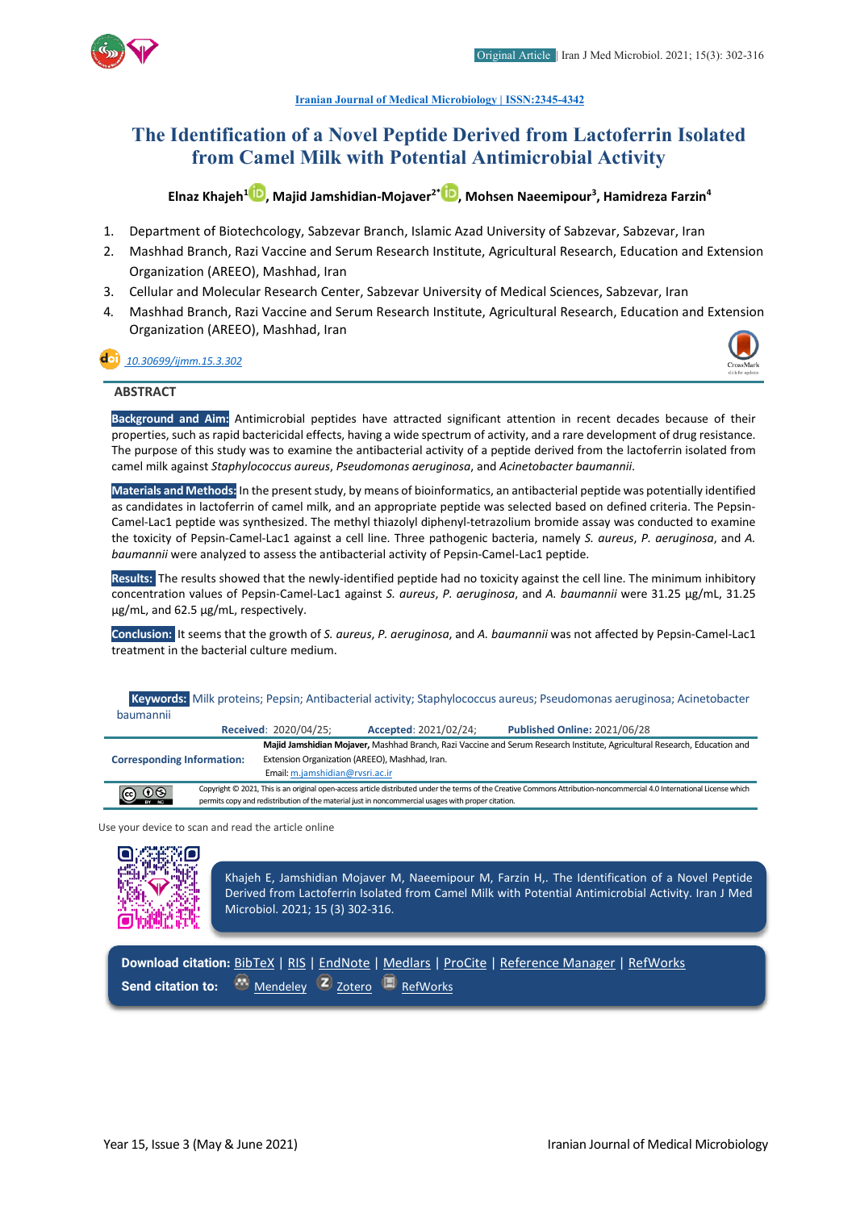

**[Iranian Journal of Medical Microbiology |](https://ijmm.ir/) ISSN:2345-4342**

## **The Identification of a Novel Peptide Derived from Lactoferrin Isolated from Camel Milk with Potential Antimicrobial Activity**

**Elnaz Khajeh1 [,](http://orcid.org/0000000191864258) Majid Jamshidian-Mojaver2\* [,](http://orcid.org/0000000283472921) Mohsen Naeemipour3 , Hamidreza Farzin4**

- 1. Department of Biotechcology, Sabzevar Branch, Islamic Azad University of Sabzevar, Sabzevar, Iran
- 2. Mashhad Branch, Razi Vaccine and Serum Research Institute, Agricultural Research, Education and Extension Organization (AREEO), Mashhad, Iran
- 3. Cellular and Molecular Research Center, Sabzevar University of Medical Sciences, Sabzevar, Iran
- 4. Mashhad Branch, Razi Vaccine and Serum Research Institute, Agricultural Research, Education and Extension Organization (AREEO), Mashhad, Iran

#### *[10.30699/ijmm.15.3.302](http://dx.doi.org/10.30699/ijmm.15.3.302)*



#### **ABSTRACT**

**Background and Aim:** Antimicrobial peptides have attracted significant attention in recent decades because of their properties, such as rapid bactericidal effects, having a wide spectrum of activity, and a rare development of drug resistance. The purpose of this study was to examine the antibacterial activity of a peptide derived from the lactoferrin isolated from camel milk against *Staphylococcus aureus*, *Pseudomonas aeruginosa*, and *Acinetobacter baumannii*.

**Materials and Methods:** In the present study, by means of bioinformatics, an antibacterial peptide was potentially identified as candidates in lactoferrin of camel milk, and an appropriate peptide was selected based on defined criteria. The Pepsin-Camel-Lac1 peptide was synthesized. The methyl thiazolyl diphenyl-tetrazolium bromide assay was conducted to examine the toxicity of Pepsin-Camel-Lac1 against a cell line. Three pathogenic bacteria, namely *S. aureus*, *P. aeruginosa*, and *A. baumannii* were analyzed to assess the antibacterial activity of Pepsin-Camel-Lac1 peptide.

**Results:** The results showed that the newly-identified peptide had no toxicity against the cell line. The minimum inhibitory concentration values of Pepsin-Camel-Lac1 against *S. aureus*, *P. aeruginosa*, and *A. baumannii* were 31.25 µg/mL, 31.25 µg/mL, and 62.5 µg/mL, respectively.

**Conclusion:** It seems that the growth of *S. aureus*, *P. aeruginosa*, and *A. baumannii* was not affected by Pepsin-Camel-Lac1 treatment in the bacterial culture medium.

| Keywords: Milk proteins; Pepsin; Antibacterial activity; Staphylococcus aureus; Pseudomonas aeruginosa; Acinetobacter<br>baumannii |                                                                                                    |                                 |                                                |                                                                                                                                                                         |  |  |  |
|------------------------------------------------------------------------------------------------------------------------------------|----------------------------------------------------------------------------------------------------|---------------------------------|------------------------------------------------|-------------------------------------------------------------------------------------------------------------------------------------------------------------------------|--|--|--|
|                                                                                                                                    |                                                                                                    | <b>Received: 2020/04/25;</b>    | Accepted: 2021/02/24;                          | <b>Published Online: 2021/06/28</b>                                                                                                                                     |  |  |  |
|                                                                                                                                    |                                                                                                    |                                 |                                                | Majid Jamshidian Mojaver, Mashhad Branch, Razi Vaccine and Serum Research Institute, Agricultural Research, Education and                                               |  |  |  |
| <b>Corresponding Information:</b>                                                                                                  |                                                                                                    |                                 | Extension Organization (AREEO), Mashhad, Iran. |                                                                                                                                                                         |  |  |  |
|                                                                                                                                    |                                                                                                    | Email: m.jamshidian@rvsri.ac.ir |                                                |                                                                                                                                                                         |  |  |  |
| $\bigodot$ $\bigodot$ $\bigodot$                                                                                                   |                                                                                                    |                                 |                                                | Copyright © 2021, This is an original open-access article distributed under the terms of the Creative Commons Attribution-noncommercial 4.0 International License which |  |  |  |
|                                                                                                                                    | permits copy and redistribution of the material just in noncommercial usages with proper citation. |                                 |                                                |                                                                                                                                                                         |  |  |  |

permits copy and redistribution of the material just in noncommercial usages with proper citation.

Use your device to scan and read the article online

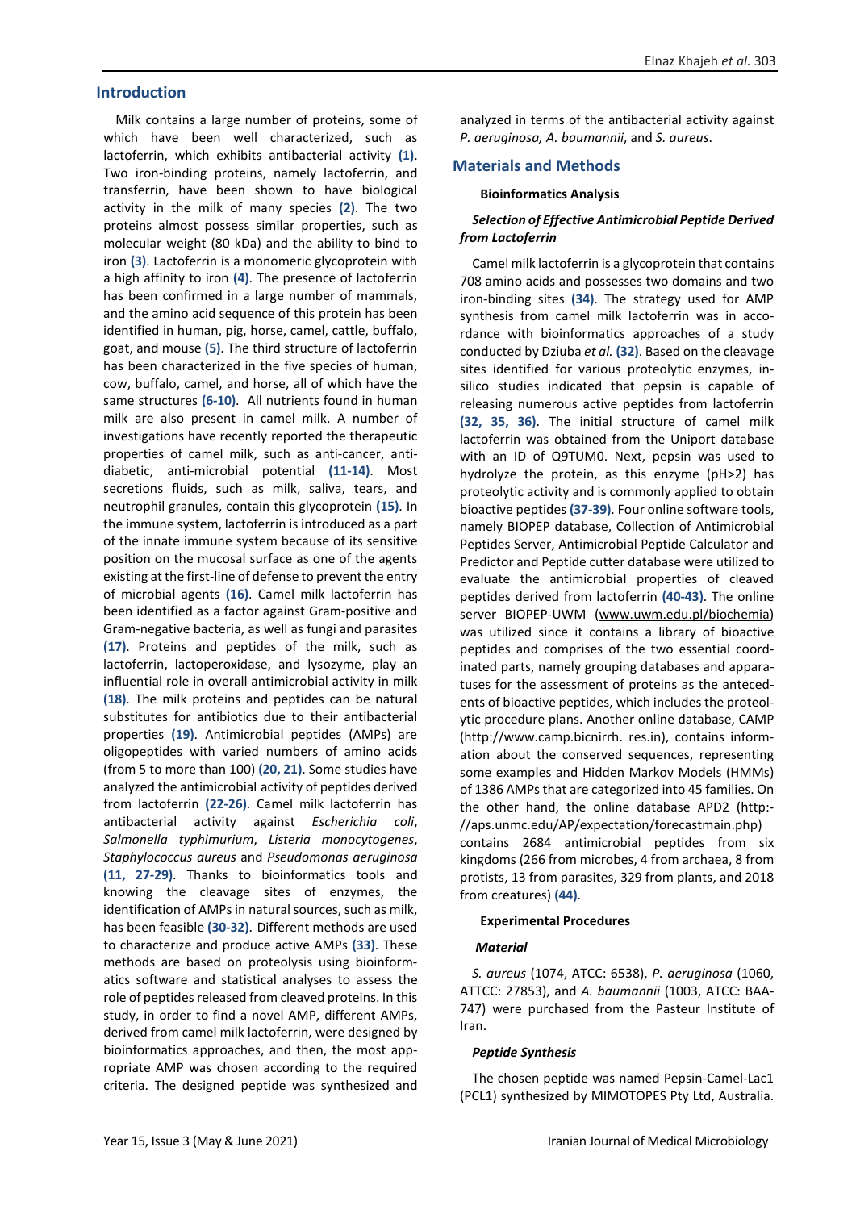#### **Introduction**

Milk contains a large number of proteins, some of which have been well characterized, such as lactoferrin, which exhibits antibacterial activity **(1)**. Two iron-binding proteins, namely lactoferrin, and transferrin, have been shown to have biological activity in the milk of many species **(2)**. The two proteins almost possess similar properties, such as molecular weight (80 kDa) and the ability to bind to iron **(3)**. Lactoferrin is a monomeric glycoprotein with a high affinity to iron **(4)**. The presence of lactoferrin has been confirmed in a large number of mammals, and the amino acid sequence of this protein has been identified in human, pig, horse, camel, cattle, buffalo, goat, and mouse **(5)**. The third structure of lactoferrin has been characterized in the five species of human, cow, buffalo, camel, and horse, all of which have the same structures **(6-10)**. All nutrients found in human milk are also present in camel milk. A number of investigations have recently reported the therapeutic properties of camel milk, such as anti-cancer, antidiabetic, anti-microbial potential **(11-14)**. Most secretions fluids, such as milk, saliva, tears, and neutrophil granules, contain this glycoprotein **(15)**. In the immune system, lactoferrin is introduced as a part of the innate immune system because of its sensitive position on the mucosal surface as one of the agents existing at the first-line of defense to prevent the entry of microbial agents **(16)**. Camel milk lactoferrin has been identified as a factor against Gram-positive and Gram-negative bacteria, as well as fungi and parasites **(17)**. Proteins and peptides of the milk, such as lactoferrin, lactoperoxidase, and lysozyme, play an influential role in overall antimicrobial activity in milk **(18)**. The milk proteins and peptides can be natural substitutes for antibiotics due to their antibacterial properties **(19)**. Antimicrobial peptides (AMPs) are oligopeptides with varied numbers of amino acids (from 5 to more than 100) **(20, 21)**. Some studies have analyzed the antimicrobial activity of peptides derived from lactoferrin **(22-26)**. Camel milk lactoferrin has antibacterial activity against *Escherichia coli*, *Salmonella typhimurium*, *Listeria monocytogenes*, *Staphylococcus aureus* and *Pseudomonas aeruginosa*  **(11, 27-29)**. Thanks to bioinformatics tools and knowing the cleavage sites of enzymes, the identification of AMPs in natural sources, such as milk, has been feasible **(30-32)**. Different methods are used to characterize and produce active AMPs **(33)**. These methods are based on proteolysis using bioinformatics software and statistical analyses to assess the role of peptides released from cleaved proteins. In this study, in order to find a novel AMP, different AMPs, derived from camel milk lactoferrin, were designed by bioinformatics approaches, and then, the most appropriate AMP was chosen according to the required criteria. The designed peptide was synthesized and

analyzed in terms of the antibacterial activity against *P. aeruginosa, A. baumannii*, and *S. aureus*.

#### **Materials and Methods**

#### **Bioinformatics Analysis**

#### *Selection of Effective Antimicrobial Peptide Derived from Lactoferrin*

Camel milk lactoferrin is a glycoprotein that contains 708 amino acids and possesses two domains and two iron-binding sites **(34)**. The strategy used for AMP synthesis from camel milk lactoferrin was in accordance with bioinformatics approaches of a study conducted by Dziuba *et al.* **(32)**. Based on the cleavage sites identified for various proteolytic enzymes, insilico studies indicated that pepsin is capable of releasing numerous active peptides from lactoferrin **(32, 35, 36)**. The initial structure of camel milk lactoferrin was obtained from the Uniport database with an ID of Q9TUM0. Next, pepsin was used to hydrolyze the protein, as this enzyme (pH>2) has proteolytic activity and is commonly applied to obtain bioactive peptides **(37-39)**. Four online software tools, namely BIOPEP database, Collection of Antimicrobial Peptides Server, Antimicrobial Peptide Calculator and Predictor and Peptide cutter database were utilized to evaluate the antimicrobial properties of cleaved peptides derived from lactoferrin **(40-43)**. The online server BIOPEP-UWM (www.uwm.edu.pl/biochemia) was utilized since it contains a library of bioactive peptides and comprises of the two essential coordinated parts, namely grouping databases and apparatuses for the assessment of proteins as the antecedents of bioactive peptides, which includes the proteolytic procedure plans. Another online database, CAMP (http://www.camp.bicnirrh. res.in), contains information about the conserved sequences, representing some examples and Hidden Markov Models (HMMs) of 1386 AMPs that are categorized into 45 families. On the other hand, the online database APD2 (http:- //aps.unmc.edu/AP/expectation/forecastmain.php) contains 2684 antimicrobial peptides from six kingdoms (266 from microbes, 4 from archaea, 8 from protists, 13 from parasites, 329 from plants, and 2018 from creatures) **(44)**.

#### **Experimental Procedures**

#### *Material*

*S. aureus* (1074, ATCC: 6538), *P. aeruginosa* (1060, ATTCC: 27853), and *A. baumannii* (1003, ATCC: BAA-747) were purchased from the Pasteur Institute of Iran.

#### *Peptide Synthesis*

The chosen peptide was named Pepsin-Camel-Lac1 (PCL1) synthesized by MIMOTOPES Pty Ltd, Australia.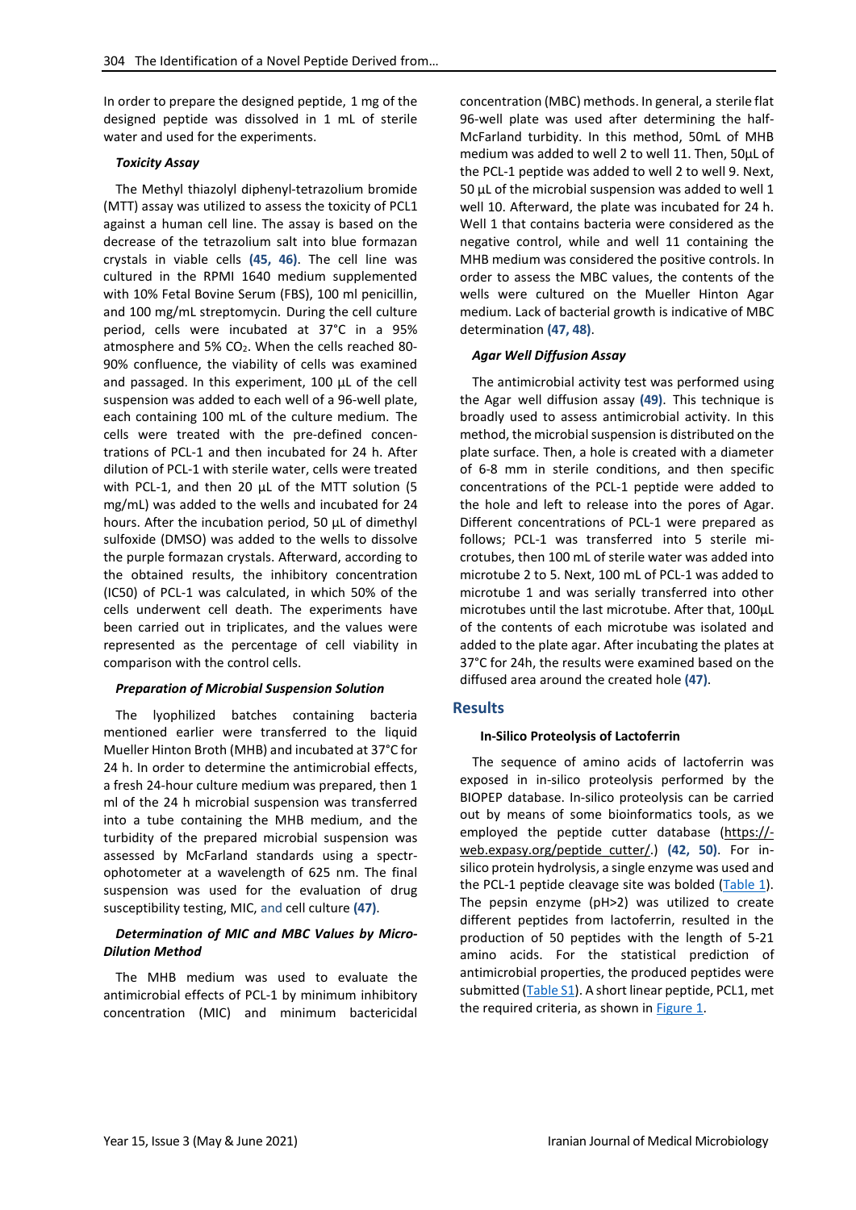In order to prepare the designed peptide, 1 mg of the designed peptide was dissolved in 1 mL of sterile water and used for the experiments.

#### *Toxicity Assay*

The Methyl thiazolyl diphenyl-tetrazolium bromide (MTT) assay was utilized to assess the toxicity of PCL1 against a human cell line. The assay is based on the decrease of the tetrazolium salt into blue formazan crystals in viable cells **(45, 46)**. The cell line was cultured in the RPMI 1640 medium supplemented with 10% Fetal Bovine Serum (FBS), 100 ml penicillin, and 100 mg/mL streptomycin. During the cell culture period, cells were incubated at 37°C in a 95% atmosphere and 5% CO<sub>2</sub>. When the cells reached 80-90% confluence, the viability of cells was examined and passaged. In this experiment, 100 µL of the cell suspension was added to each well of a 96-well plate, each containing 100 mL of the culture medium. The cells were treated with the pre-defined concentrations of PCL-1 and then incubated for 24 h. After dilution of PCL-1 with sterile water, cells were treated with PCL-1, and then 20 µL of the MTT solution (5 mg/mL) was added to the wells and incubated for 24 hours. After the incubation period, 50 µL of dimethyl sulfoxide (DMSO) was added to the wells to dissolve the purple formazan crystals. Afterward, according to the obtained results, the inhibitory concentration (IC50) of PCL-1 was calculated, in which 50% of the cells underwent cell death. The experiments have been carried out in triplicates, and the values were represented as the percentage of cell viability in comparison with the control cells.

#### *Preparation of Microbial Suspension Solution*

The lyophilized batches containing bacteria mentioned earlier were transferred to the liquid Mueller Hinton Broth (MHB) and incubated at 37°C for 24 h. In order to determine the antimicrobial effects, a fresh 24-hour culture medium was prepared, then 1 ml of the 24 h microbial suspension was transferred into a tube containing the MHB medium, and the turbidity of the prepared microbial suspension was assessed by McFarland standards using a spectrophotometer at a wavelength of 625 nm. The final suspension was used for the evaluation of drug susceptibility testing, MIC, and cell culture **(47)**.

#### *Determination of MIC and MBC Values by Micro-Dilution Method*

<span id="page-2-0"></span>The MHB medium was used to evaluate the antimicrobial effects of PCL-1 by minimum inhibitory concentration (MIC) and minimum bactericidal concentration (MBC) methods. In general, a sterile flat 96-well plate was used after determining the half-McFarland turbidity. In this method, 50mL of MHB medium was added to well 2 to well 11. Then, 50µL of the PCL-1 peptide was added to well 2 to well 9. Next, 50 µL of the microbial suspension was added to well 1 well 10. Afterward, the plate was incubated for 24 h. Well 1 that contains bacteria were considered as the negative control, while and well 11 containing the MHB medium was considered the positive controls. In order to assess the MBC values, the contents of the wells were cultured on the Mueller Hinton Agar medium. Lack of bacterial growth is indicative of MBC determination **(47, 48)**.

#### *Agar Well Diffusion Assay*

The antimicrobial activity test was performed using the Agar well diffusion assay **(49)**. This technique is broadly used to assess antimicrobial activity. In this method, the microbial suspension is distributed on the plate surface. Then, a hole is created with a diameter of 6-8 mm in sterile conditions, and then specific concentrations of the PCL-1 peptide were added to the hole and left to release into the pores of Agar. Different concentrations of PCL-1 were prepared as follows; PCL-1 was transferred into 5 sterile microtubes, then 100 mL of sterile water was added into microtube 2 to 5. Next, 100 mL of PCL-1 was added to microtube 1 and was serially transferred into other microtubes until the last microtube. After that, 100µL of the contents of each microtube was isolated and added to the plate agar. After incubating the plates at 37°C for 24h, the results were examined based on the diffused area around the created hole **(47)**.

#### **Results**

#### **In-Silico Proteolysis of Lactoferrin**

The sequence of amino acids of lactoferrin was exposed in in-silico proteolysis performed by the BIOPEP database. In-silico proteolysis can be carried out by means of some bioinformatics tools, as we employed the peptide cutter database (https:// web.expasy.org/peptide\_cutter/.) **(42, 50)**. For insilico protein hydrolysis, a single enzyme was used and the PCL-1 peptide cleavage site was bolded [\(Table 1\)](#page-2-0). The pepsin enzyme (pH>2) was utilized to create different peptides from lactoferrin, resulted in the production of 50 peptides with the length of 5-21 amino acids. For the statistical prediction of antimicrobial properties, the produced peptides were submitted [\(Table S1\)](#page-2-0). A short linear peptide, PCL1, met the required criteria, as shown i[n Figure 1.](#page-3-0)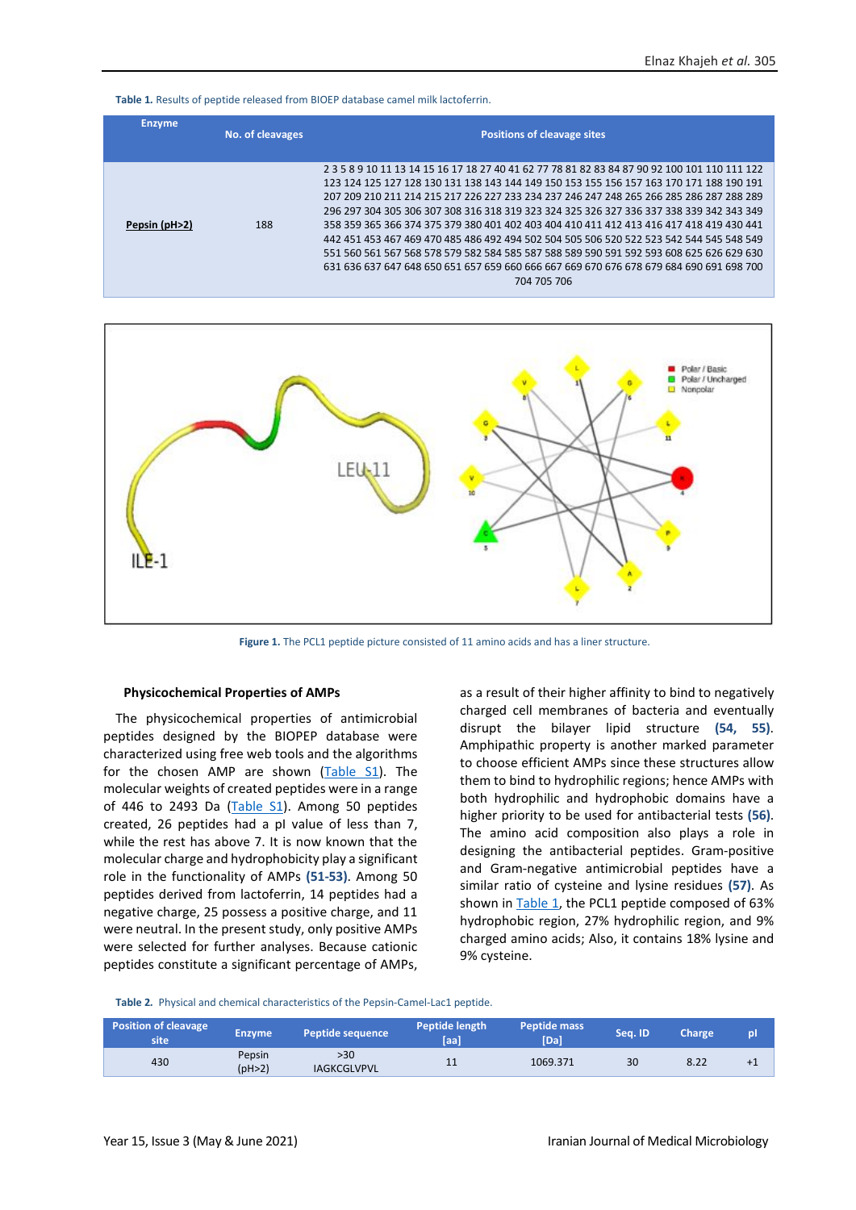**Table 1***.* Results of peptide released from BIOEP database camel milk lactoferrin.

| <b>Enzyme</b> | No. of cleavages | <b>Positions of cleavage sites</b>                                                                                                                                                                                                                                                                                                                                                                                                                                                                                                                                                                                                                                                                                                                                       |
|---------------|------------------|--------------------------------------------------------------------------------------------------------------------------------------------------------------------------------------------------------------------------------------------------------------------------------------------------------------------------------------------------------------------------------------------------------------------------------------------------------------------------------------------------------------------------------------------------------------------------------------------------------------------------------------------------------------------------------------------------------------------------------------------------------------------------|
| Pepsin (pH>2) | 188              | 2 3 5 8 9 10 11 13 14 15 16 17 18 27 40 41 62 77 78 81 82 83 84 87 90 92 100 101 110 111 122<br>123 124 125 127 128 130 131 138 143 144 149 150 153 155 156 157 163 170 171 188 190 191<br>207 209 210 211 214 215 217 226 227 233 234 237 246 247 248 265 266 285 286 287 288 289<br>296 297 304 305 306 307 308 316 318 319 323 324 325 326 327 336 337 338 339 342 343 349<br>358 359 365 366 374 375 379 380 401 402 403 404 410 411 412 413 416 417 418 419 430 441<br>442 451 453 467 469 470 485 486 492 494 502 504 505 506 520 522 523 542 544 545 548 549<br>551 560 561 567 568 578 579 582 584 585 587 588 589 590 591 592 593 608 625 626 629 630<br>631 636 637 647 648 650 651 657 659 660 666 667 669 670 676 678 679 684 690 691 698 700<br>704 705 706 |



**Figure 1.** The PCL1 peptide picture consisted of 11 amino acids and has a liner structure.

#### <span id="page-3-0"></span>**Physicochemical Properties of AMPs**

The physicochemical properties of antimicrobial peptides designed by the BIOPEP database were characterized using free web tools and the algorithms for the chosen AMP are shown [\(Table S1\)](#page-4-0). The molecular weights of created peptides were in a range of 446 to 2493 Da (Table  $S_1$ ). Among 50 peptides created, 26 peptides had a pI value of less than 7, while the rest has above 7. It is now known that the molecular charge and hydrophobicity play a significant role in the functionality of AMPs **(51-53)**. Among 50 peptides derived from lactoferrin, 14 peptides had a negative charge, 25 possess a positive charge, and 11 were neutral. In the present study, only positive AMPs were selected for further analyses. Because cationic peptides constitute a significant percentage of AMPs,

as a result of their higher affinity to bind to negatively charged cell membranes of bacteria and eventually disrupt the bilayer lipid structure **(54, 55)**. Amphipathic property is another marked parameter to choose efficient AMPs since these structures allow them to bind to hydrophilic regions; hence AMPs with both hydrophilic and hydrophobic domains have a higher priority to be used for antibacterial tests **(56)**. The amino acid composition also plays a role in designing the antibacterial peptides. Gram-positive and Gram-negative antimicrobial peptides have a similar ratio of cysteine and lysine residues **(57)**. As shown in [Table 1,](#page-2-0) the PCL1 peptide composed of 63% hydrophobic region, 27% hydrophilic region, and 9% charged amino acids; Also, it contains 18% lysine and 9% cysteine.

<span id="page-3-1"></span>**Table 2***.* Physical and chemical characteristics of the Pepsin-Camel-Lac1 peptide.

| <b>Position of cleavage</b><br>site | <b>Enzyme</b>    | <b>Peptide sequence</b>   | Peptide length<br>[aa] | Peptide mass<br>[Da] | Sea. ID | <b>Charge</b> | pl   |
|-------------------------------------|------------------|---------------------------|------------------------|----------------------|---------|---------------|------|
| 430                                 | Pepsin<br>(pH>2) | >30<br><b>IAGKCGLVPVL</b> | 11                     | 1069.371             | 30      | 8.22          | $+1$ |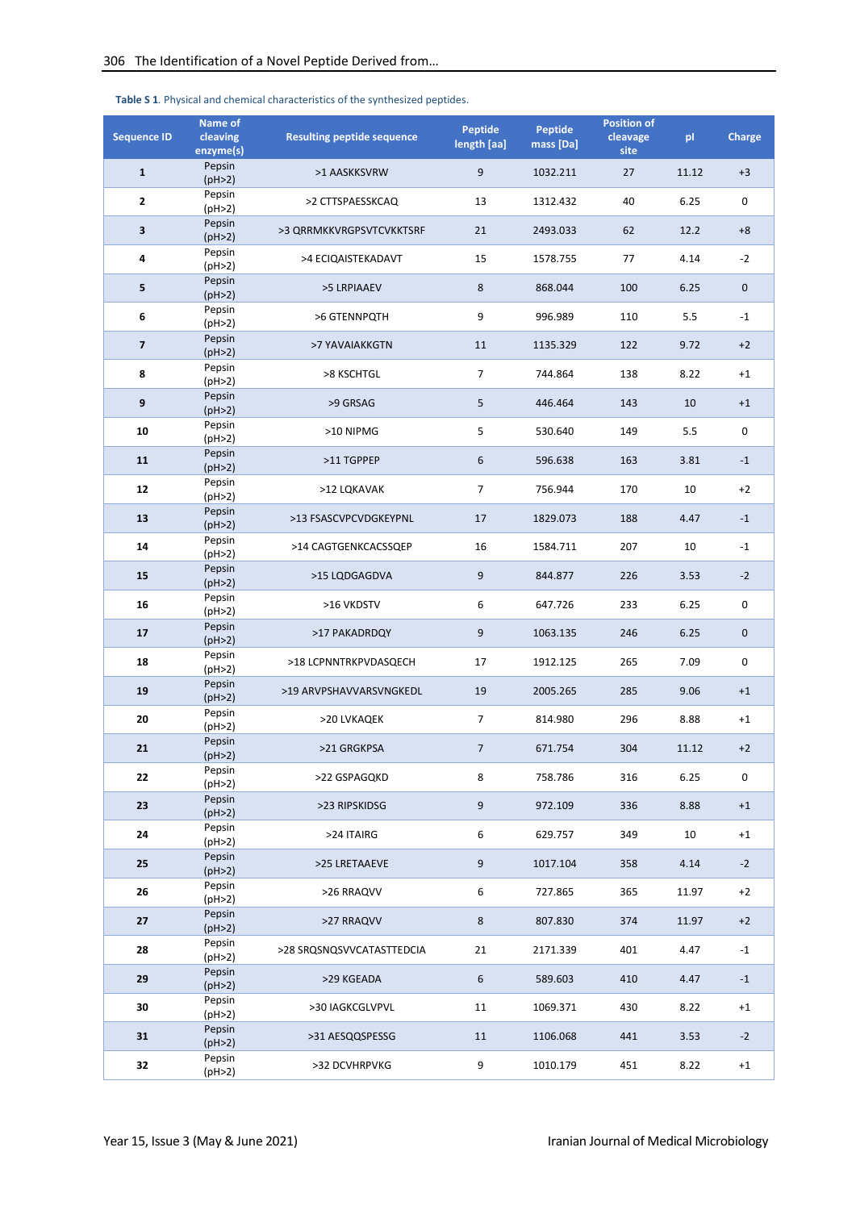| <b>Sequence ID</b>      | Name of<br>cleaving<br>enzyme(s) | <b>Resulting peptide sequence</b> | Peptide<br>length [aa] | Peptide<br>mass [Da] | <b>Position of</b><br>cleavage<br>site | pl    | <b>Charge</b> |
|-------------------------|----------------------------------|-----------------------------------|------------------------|----------------------|----------------------------------------|-------|---------------|
| $\mathbf{1}$            | Pepsin<br>(pH>2)                 | >1 AASKKSVRW                      | 9                      | 1032.211             | 27                                     | 11.12 | $+3$          |
| 2                       | Pepsin<br>(pH>2)                 | >2 CTTSPAESSKCAQ                  | 13                     | 1312.432             | 40                                     | 6.25  | $\pmb{0}$     |
| 3                       | Pepsin<br>(pH>2)                 | >3 QRRMKKVRGPSVTCVKKTSRF          | 21                     | 2493.033             | 62                                     | 12.2  | $+8$          |
| 4                       | Pepsin<br>(pH>2)                 | >4 ECIQAISTEKADAVT                | 15                     | 1578.755             | 77                                     | 4.14  | $-2$          |
| 5                       | Pepsin<br>(pH>2)                 | >5 LRPIAAEV                       | 8                      | 868.044              | 100                                    | 6.25  | $\pmb{0}$     |
| 6                       | Pepsin<br>(pH>2)                 | >6 GTENNPQTH                      | 9                      | 996.989              | 110                                    | 5.5   | $-1$          |
| $\overline{\mathbf{z}}$ | Pepsin<br>(pH>2)                 | >7 YAVAIAKKGTN                    | 11                     | 1135.329             | 122                                    | 9.72  | $+2$          |
| 8                       | Pepsin<br>(pH>2)                 | >8 KSCHTGL                        | $\overline{7}$         | 744.864              | 138                                    | 8.22  | $+1$          |
| 9                       | Pepsin<br>(pH>2)                 | >9 GRSAG                          | 5                      | 446.464              | 143                                    | 10    | $+1$          |
| 10                      | Pepsin<br>(pH>2)                 | >10 NIPMG                         | 5                      | 530.640              | 149                                    | 5.5   | 0             |
| 11                      | Pepsin<br>(pH>2)                 | >11 TGPPEP                        | 6                      | 596.638              | 163                                    | 3.81  | $-1$          |
| 12                      | Pepsin<br>(pH>2)                 | >12 LQKAVAK                       | $\overline{7}$         | 756.944              | 170                                    | 10    | $+2$          |
| 13                      | Pepsin<br>(pH>2)                 | >13 FSASCVPCVDGKEYPNL             | 17                     | 1829.073             | 188                                    | 4.47  | $-1$          |
| 14                      | Pepsin<br>(pH>2)                 | >14 CAGTGENKCACSSQEP              | 16                     | 1584.711             | 207                                    | 10    | $^{\rm -1}$   |
| 15                      | Pepsin<br>(pH>2)                 | >15 LQDGAGDVA                     | 9                      | 844.877              | 226                                    | 3.53  | $-2$          |
| 16                      | Pepsin<br>(pH>2)                 | >16 VKDSTV                        | 6                      | 647.726              | 233                                    | 6.25  | 0             |
| 17                      | Pepsin<br>(pH>2)                 | >17 PAKADRDQY                     | 9                      | 1063.135             | 246                                    | 6.25  | $\pmb{0}$     |
| 18                      | Pepsin<br>(pH>2)                 | >18 LCPNNTRKPVDASQECH             | 17                     | 1912.125             | 265                                    | 7.09  | 0             |
| 19                      | Pepsin<br>(pH>2)                 | >19 ARVPSHAVVARSVNGKEDL           | 19                     | 2005.265             | 285                                    | 9.06  | $+1$          |
| 20                      | Pepsin<br>(pH>2)                 | >20 LVKAQEK                       | $\overline{7}$         | 814.980              | 296                                    | 8.88  | $+1$          |
| 21                      | Pepsin<br>(pH>2)                 | >21 GRGKPSA                       | $\overline{7}$         | 671.754              | 304                                    | 11.12 | $+2$          |
| 22                      | Pepsin<br>(pH>2)                 | >22 GSPAGQKD                      | 8                      | 758.786              | 316                                    | 6.25  | 0             |
| 23                      | Pepsin<br>(pH>2)                 | >23 RIPSKIDSG                     | 9                      | 972.109              | 336                                    | 8.88  | $+1$          |
| 24                      | Pepsin<br>(pH>2)                 | >24 ITAIRG                        | 6                      | 629.757              | 349                                    | 10    | $+1$          |
| 25                      | Pepsin<br>(pH>2)                 | >25 LRETAAEVE                     | 9                      | 1017.104             | 358                                    | 4.14  | $-2$          |
| 26                      | Pepsin<br>(pH>2)                 | >26 RRAQVV                        | 6                      | 727.865              | 365                                    | 11.97 | $+2$          |
| 27                      | Pepsin<br>(pH>2)                 | >27 RRAQVV                        | $\bf 8$                | 807.830              | 374                                    | 11.97 | $+2$          |
| 28                      | Pepsin<br>(pH>2)                 | >28 SRQSNQSVVCATASTTEDCIA         | 21                     | 2171.339             | 401                                    | 4.47  | $-1$          |
| 29                      | Pepsin<br>(pH>2)                 | >29 KGEADA                        | 6                      | 589.603              | 410                                    | 4.47  | $-1$          |
| 30                      | Pepsin<br>(pH>2)                 | >30 IAGKCGLVPVL                   | 11                     | 1069.371             | 430                                    | 8.22  | $+1$          |
| 31                      | Pepsin<br>(pH>2)                 | >31 AESQQSPESSG                   | 11                     | 1106.068             | 441                                    | 3.53  | $-2$          |
| 32                      | Pepsin<br>(pH>2)                 | >32 DCVHRPVKG                     | 9                      | 1010.179             | 451                                    | 8.22  | $+1$          |

#### <span id="page-4-0"></span>**Table S 1***.* Physical and chemical characteristics of the synthesized peptides.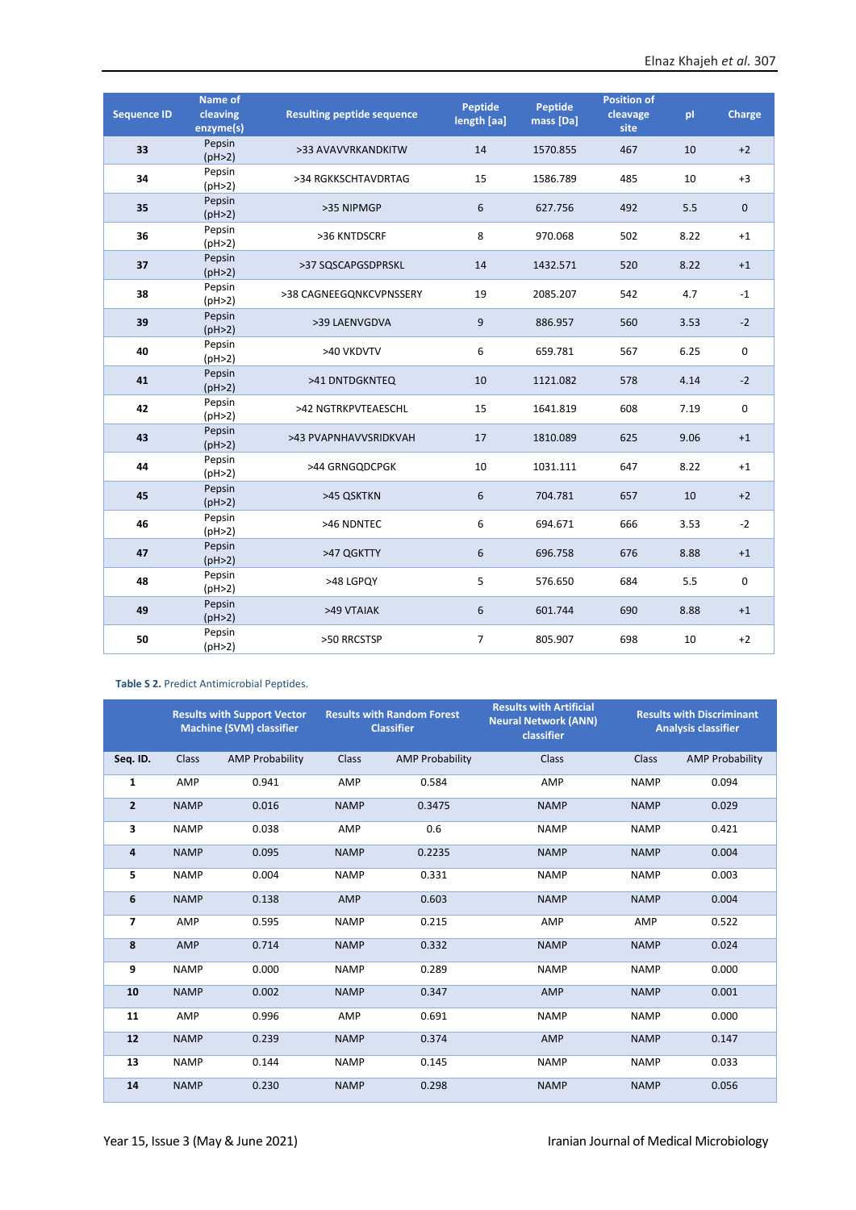| <b>Sequence ID</b> | Name of<br>cleaving<br>enzyme(s) | <b>Resulting peptide sequence</b> | Peptide<br>length [aa] | Peptide<br>mass [Da] | <b>Position of</b><br>cleavage<br>site | pl   | Charge              |
|--------------------|----------------------------------|-----------------------------------|------------------------|----------------------|----------------------------------------|------|---------------------|
| 33                 | Pepsin<br>(pH>2)                 | >33 AVAVVRKANDKITW                | 14                     | 1570.855             | 467                                    | 10   | $+2$                |
| 34                 | Pepsin<br>(pH>2)                 | >34 RGKKSCHTAVDRTAG               | 15                     | 1586.789             | 485                                    | 10   | $+3$                |
| 35                 | Pepsin<br>(pH>2)                 | >35 NIPMGP                        | 6                      | 627.756              | 492                                    | 5.5  | $\mathsf{O}\xspace$ |
| 36                 | Pepsin<br>(pH>2)                 | >36 KNTDSCRF                      | 8                      | 970.068              | 502                                    | 8.22 | $+1$                |
| 37                 | Pepsin<br>(pH>2)                 | >37 SQSCAPGSDPRSKL                | 14                     | 1432.571             | 520                                    | 8.22 | $+1$                |
| 38                 | Pepsin<br>(pH>2)                 | >38 CAGNEEGQNKCVPNSSERY           | 19                     | 2085.207             | 542                                    | 4.7  | $-1$                |
| 39                 | Pepsin<br>(pH>2)                 | >39 LAENVGDVA                     | 9                      | 886.957              | 560                                    | 3.53 | $-2$                |
| 40                 | Pepsin<br>(pH>2)                 | >40 VKDVTV                        | 6                      | 659.781              | 567                                    | 6.25 | 0                   |
| 41                 | Pepsin<br>(pH>2)                 | >41 DNTDGKNTEQ                    | 10                     | 1121.082             | 578                                    | 4.14 | $-2$                |
| 42                 | Pepsin<br>(pH>2)                 | >42 NGTRKPVTEAESCHL               | 15                     | 1641.819             | 608                                    | 7.19 | 0                   |
| 43                 | Pepsin<br>(pH>2)                 | >43 PVAPNHAVVSRIDKVAH             | 17                     | 1810.089             | 625                                    | 9.06 | $+1$                |
| 44                 | Pepsin<br>(pH>2)                 | >44 GRNGQDCPGK                    | 10                     | 1031.111             | 647                                    | 8.22 | $+1$                |
| 45                 | Pepsin<br>(pH>2)                 | >45 QSKTKN                        | 6                      | 704.781              | 657                                    | 10   | $+2$                |
| 46                 | Pepsin<br>(pH>2)                 | >46 NDNTEC                        | 6                      | 694.671              | 666                                    | 3.53 | $-2$                |
| 47                 | Pepsin<br>(pH>2)                 | >47 QGKTTY                        | 6                      | 696.758              | 676                                    | 8.88 | $+1$                |
| 48                 | Pepsin<br>(pH>2)                 | >48 LGPQY                         | 5                      | 576.650              | 684                                    | 5.5  | 0                   |
| 49                 | Pepsin<br>(pH>2)                 | >49 VTAIAK                        | 6                      | 601.744              | 690                                    | 8.88 | $+1$                |
| 50                 | Pepsin<br>(pH>2)                 | >50 RRCSTSP                       | $\overline{7}$         | 805.907              | 698                                    | 10   | $+2$                |

#### **Table S 2.** Predict Antimicrobial Peptides.

|                | <b>Results with Support Vector</b><br><b>Machine (SVM) classifier</b> |                        | <b>Results with Random Forest</b><br><b>Classifier</b> |                        | <b>Results with Artificial</b><br><b>Neural Network (ANN)</b><br>classifier |             | <b>Results with Discriminant</b><br><b>Analysis classifier</b> |
|----------------|-----------------------------------------------------------------------|------------------------|--------------------------------------------------------|------------------------|-----------------------------------------------------------------------------|-------------|----------------------------------------------------------------|
| Seq. ID.       | Class                                                                 | <b>AMP Probability</b> | Class                                                  | <b>AMP Probability</b> | Class                                                                       | Class       | <b>AMP Probability</b>                                         |
| 1              | AMP                                                                   | 0.941                  | AMP                                                    | 0.584                  | AMP                                                                         | <b>NAMP</b> | 0.094                                                          |
| $\overline{2}$ | <b>NAMP</b>                                                           | 0.016                  | <b>NAMP</b>                                            | 0.3475                 | <b>NAMP</b>                                                                 | <b>NAMP</b> | 0.029                                                          |
| 3              | <b>NAMP</b>                                                           | 0.038                  | AMP                                                    | 0.6                    | <b>NAMP</b>                                                                 | <b>NAMP</b> | 0.421                                                          |
| 4              | <b>NAMP</b>                                                           | 0.095                  | <b>NAMP</b>                                            | 0.2235                 | <b>NAMP</b>                                                                 | <b>NAMP</b> | 0.004                                                          |
| 5              | <b>NAMP</b>                                                           | 0.004                  | <b>NAMP</b>                                            | 0.331                  | <b>NAMP</b>                                                                 | <b>NAMP</b> | 0.003                                                          |
| 6              | <b>NAMP</b>                                                           | 0.138                  | AMP                                                    | 0.603                  | <b>NAMP</b>                                                                 | <b>NAMP</b> | 0.004                                                          |
| 7              | AMP                                                                   | 0.595                  | <b>NAMP</b>                                            | 0.215                  | AMP                                                                         | AMP         | 0.522                                                          |
| 8              | <b>AMP</b>                                                            | 0.714                  | <b>NAMP</b>                                            | 0.332                  | <b>NAMP</b>                                                                 | <b>NAMP</b> | 0.024                                                          |
| 9              | <b>NAMP</b>                                                           | 0.000                  | <b>NAMP</b>                                            | 0.289                  | <b>NAMP</b>                                                                 | <b>NAMP</b> | 0.000                                                          |
| 10             | <b>NAMP</b>                                                           | 0.002                  | <b>NAMP</b>                                            | 0.347                  | AMP                                                                         | <b>NAMP</b> | 0.001                                                          |
| 11             | AMP                                                                   | 0.996                  | AMP                                                    | 0.691                  | <b>NAMP</b>                                                                 | <b>NAMP</b> | 0.000                                                          |
| 12             | <b>NAMP</b>                                                           | 0.239                  | <b>NAMP</b>                                            | 0.374                  | AMP                                                                         | <b>NAMP</b> | 0.147                                                          |
| 13             | <b>NAMP</b>                                                           | 0.144                  | <b>NAMP</b>                                            | 0.145                  | <b>NAMP</b>                                                                 | <b>NAMP</b> | 0.033                                                          |
| 14             | <b>NAMP</b>                                                           | 0.230                  | <b>NAMP</b>                                            | 0.298                  | <b>NAMP</b>                                                                 | <b>NAMP</b> | 0.056                                                          |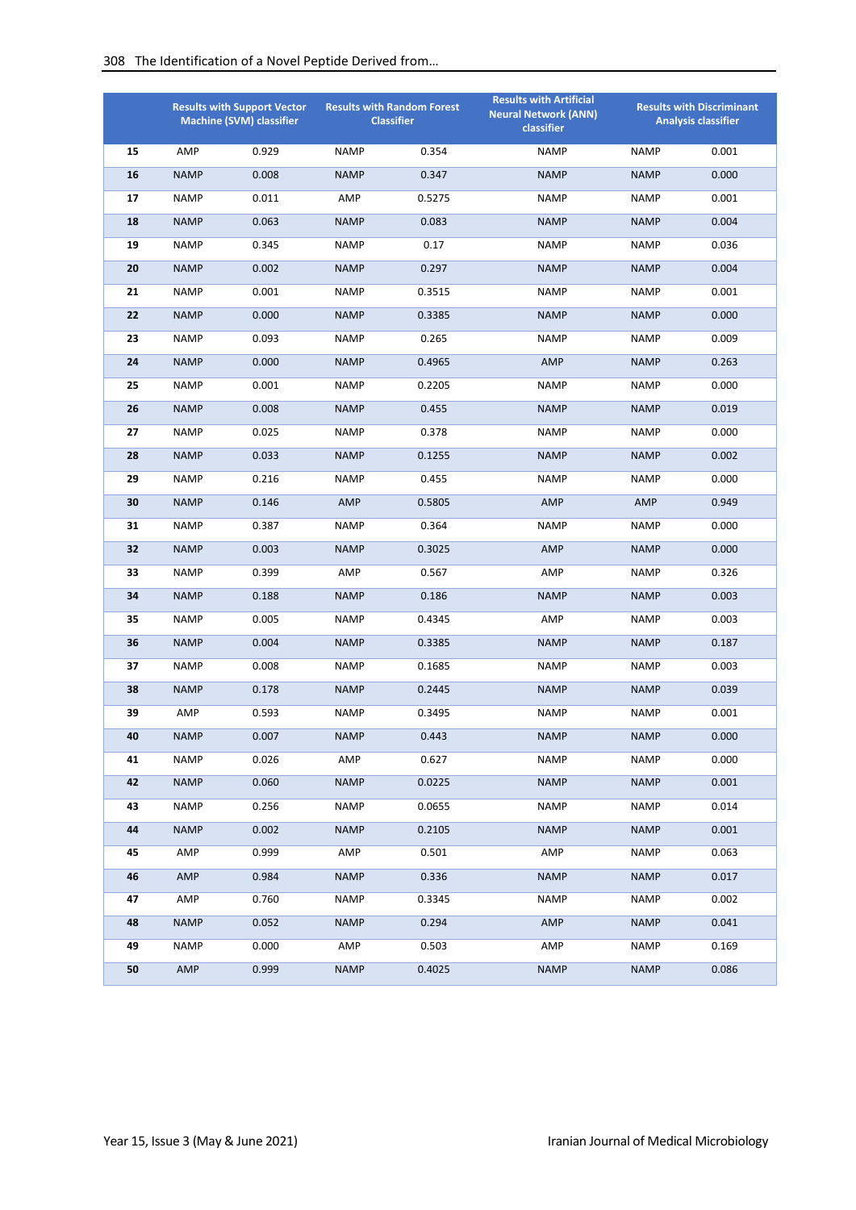|    |             | <b>Results with Support Vector</b><br><b>Machine (SVM) classifier</b> |             | <b>Results with Random Forest</b><br><b>Classifier</b> | <b>Results with Artificial</b><br><b>Neural Network (ANN)</b><br>classifier |             | <b>Results with Discriminant</b><br><b>Analysis classifier</b> |
|----|-------------|-----------------------------------------------------------------------|-------------|--------------------------------------------------------|-----------------------------------------------------------------------------|-------------|----------------------------------------------------------------|
| 15 | AMP         | 0.929                                                                 | <b>NAMP</b> | 0.354                                                  | <b>NAMP</b>                                                                 | <b>NAMP</b> | 0.001                                                          |
| 16 | <b>NAMP</b> | 0.008                                                                 | <b>NAMP</b> | 0.347                                                  | <b>NAMP</b>                                                                 | <b>NAMP</b> | 0.000                                                          |
| 17 | <b>NAMP</b> | 0.011                                                                 | AMP         | 0.5275                                                 | <b>NAMP</b>                                                                 | <b>NAMP</b> | 0.001                                                          |
| 18 | <b>NAMP</b> | 0.063                                                                 | <b>NAMP</b> | 0.083                                                  | <b>NAMP</b>                                                                 | <b>NAMP</b> | 0.004                                                          |
| 19 | <b>NAMP</b> | 0.345                                                                 | <b>NAMP</b> | 0.17                                                   | <b>NAMP</b>                                                                 | <b>NAMP</b> | 0.036                                                          |
| 20 | <b>NAMP</b> | 0.002                                                                 | <b>NAMP</b> | 0.297                                                  | <b>NAMP</b>                                                                 | <b>NAMP</b> | 0.004                                                          |
| 21 | <b>NAMP</b> | 0.001                                                                 | <b>NAMP</b> | 0.3515                                                 | <b>NAMP</b>                                                                 | <b>NAMP</b> | 0.001                                                          |
| 22 | <b>NAMP</b> | 0.000                                                                 | <b>NAMP</b> | 0.3385                                                 | <b>NAMP</b>                                                                 | <b>NAMP</b> | 0.000                                                          |
| 23 | <b>NAMP</b> | 0.093                                                                 | <b>NAMP</b> | 0.265                                                  | <b>NAMP</b>                                                                 | <b>NAMP</b> | 0.009                                                          |
| 24 | <b>NAMP</b> | 0.000                                                                 | <b>NAMP</b> | 0.4965                                                 | AMP                                                                         | <b>NAMP</b> | 0.263                                                          |
| 25 | <b>NAMP</b> | 0.001                                                                 | <b>NAMP</b> | 0.2205                                                 | <b>NAMP</b>                                                                 | <b>NAMP</b> | 0.000                                                          |
| 26 | <b>NAMP</b> | 0.008                                                                 | <b>NAMP</b> | 0.455                                                  | <b>NAMP</b>                                                                 | <b>NAMP</b> | 0.019                                                          |
| 27 | <b>NAMP</b> | 0.025                                                                 | <b>NAMP</b> | 0.378                                                  | <b>NAMP</b>                                                                 | <b>NAMP</b> | 0.000                                                          |
| 28 | <b>NAMP</b> | 0.033                                                                 | <b>NAMP</b> | 0.1255                                                 | <b>NAMP</b>                                                                 | <b>NAMP</b> | 0.002                                                          |
| 29 | <b>NAMP</b> | 0.216                                                                 | <b>NAMP</b> | 0.455                                                  | <b>NAMP</b>                                                                 | <b>NAMP</b> | 0.000                                                          |
| 30 | <b>NAMP</b> | 0.146                                                                 | AMP         | 0.5805                                                 | AMP                                                                         | AMP         | 0.949                                                          |
| 31 | <b>NAMP</b> | 0.387                                                                 | <b>NAMP</b> | 0.364                                                  | <b>NAMP</b>                                                                 | <b>NAMP</b> | 0.000                                                          |
| 32 | <b>NAMP</b> | 0.003                                                                 | <b>NAMP</b> | 0.3025                                                 | <b>AMP</b>                                                                  | <b>NAMP</b> | 0.000                                                          |
| 33 | <b>NAMP</b> | 0.399                                                                 | AMP         | 0.567                                                  | AMP                                                                         | <b>NAMP</b> | 0.326                                                          |
| 34 | <b>NAMP</b> | 0.188                                                                 | <b>NAMP</b> | 0.186                                                  | <b>NAMP</b>                                                                 | <b>NAMP</b> | 0.003                                                          |
| 35 | <b>NAMP</b> | 0.005                                                                 | <b>NAMP</b> | 0.4345                                                 | AMP                                                                         | <b>NAMP</b> | 0.003                                                          |
| 36 | <b>NAMP</b> | 0.004                                                                 | <b>NAMP</b> | 0.3385                                                 | <b>NAMP</b>                                                                 | <b>NAMP</b> | 0.187                                                          |
| 37 | <b>NAMP</b> | 0.008                                                                 | <b>NAMP</b> | 0.1685                                                 | <b>NAMP</b>                                                                 | <b>NAMP</b> | 0.003                                                          |
| 38 | <b>NAMP</b> | 0.178                                                                 | <b>NAMP</b> | 0.2445                                                 | <b>NAMP</b>                                                                 | <b>NAMP</b> | 0.039                                                          |
| 39 | AMP         | 0.593                                                                 | <b>NAMP</b> | 0.3495                                                 | <b>NAMP</b>                                                                 | <b>NAMP</b> | 0.001                                                          |
| 40 | NAMP        | 0.007                                                                 | <b>NAMP</b> | 0.443                                                  | <b>NAMP</b>                                                                 | <b>NAMP</b> | 0.000                                                          |
| 41 | <b>NAMP</b> | 0.026                                                                 | AMP         | 0.627                                                  | <b>NAMP</b>                                                                 | <b>NAMP</b> | 0.000                                                          |
| 42 | <b>NAMP</b> | 0.060                                                                 | <b>NAMP</b> | 0.0225                                                 | <b>NAMP</b>                                                                 | <b>NAMP</b> | 0.001                                                          |
| 43 | <b>NAMP</b> | 0.256                                                                 | <b>NAMP</b> | 0.0655                                                 | <b>NAMP</b>                                                                 | <b>NAMP</b> | 0.014                                                          |
| 44 | <b>NAMP</b> | 0.002                                                                 | <b>NAMP</b> | 0.2105                                                 | <b>NAMP</b>                                                                 | <b>NAMP</b> | 0.001                                                          |
| 45 | AMP         | 0.999                                                                 | AMP         | 0.501                                                  | AMP                                                                         | <b>NAMP</b> | 0.063                                                          |
| 46 | AMP         | 0.984                                                                 | <b>NAMP</b> | 0.336                                                  | <b>NAMP</b>                                                                 | <b>NAMP</b> | 0.017                                                          |
| 47 | AMP         | 0.760                                                                 | NAMP        | 0.3345                                                 | <b>NAMP</b>                                                                 | <b>NAMP</b> | 0.002                                                          |
| 48 | <b>NAMP</b> | 0.052                                                                 | <b>NAMP</b> | 0.294                                                  | AMP                                                                         | <b>NAMP</b> | 0.041                                                          |
| 49 | <b>NAMP</b> | 0.000                                                                 | AMP         | 0.503                                                  | AMP                                                                         | <b>NAMP</b> | 0.169                                                          |
| 50 | AMP         | 0.999                                                                 | <b>NAMP</b> | 0.4025                                                 | <b>NAMP</b>                                                                 | <b>NAMP</b> | 0.086                                                          |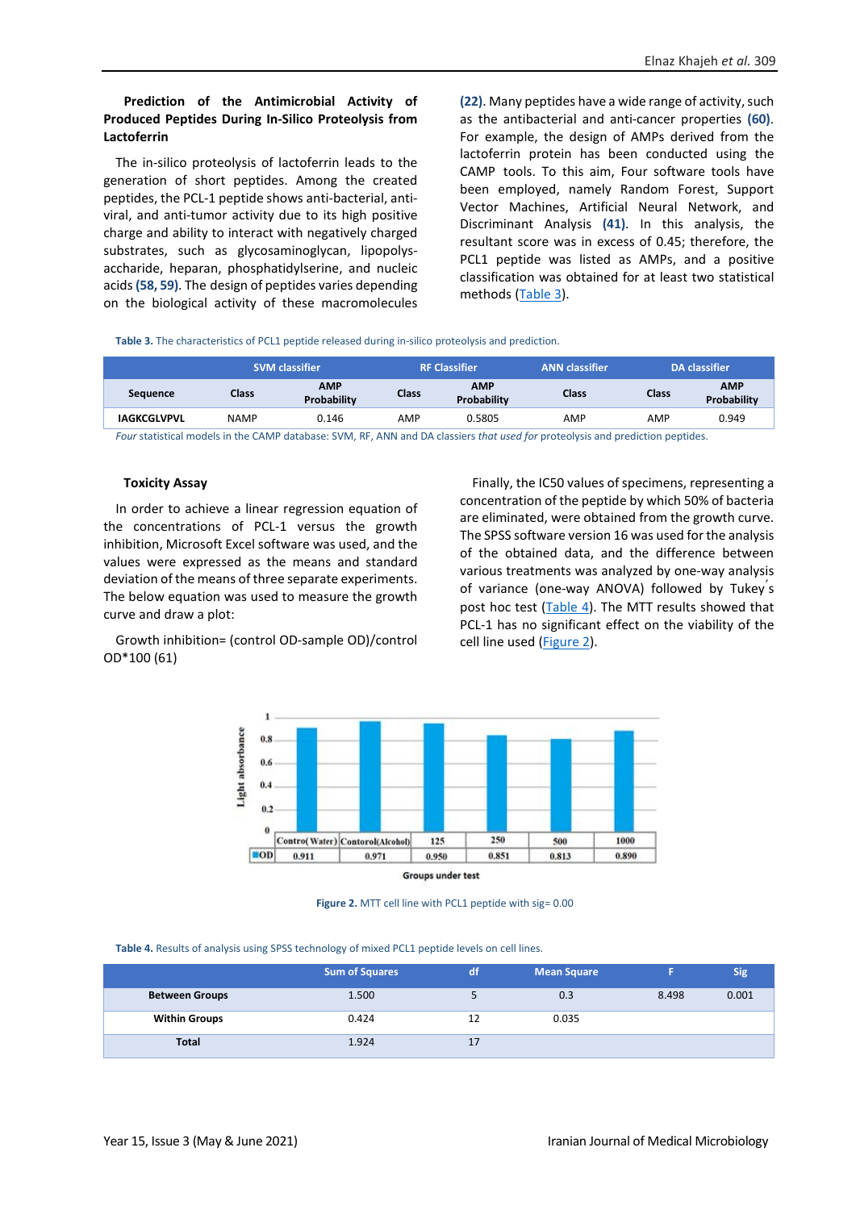#### **Prediction of the Antimicrobial Activity of Produced Peptides During In-Silico Proteolysis from Lactoferrin**

The in-silico proteolysis of lactoferrin leads to the generation of short peptides. Among the created peptides, the PCL-1 peptide shows anti-bacterial, antiviral, and anti-tumor activity due to its high positive charge and ability to interact with negatively charged substrates, such as glycosaminoglycan, lipopolysaccharide, heparan, phosphatidylserine, and nucleic acids **(58, 59)**. The design of peptides varies depending on the biological activity of these macromolecules **(22)**. Many peptides have a wide range of activity, such as the antibacterial and anti-cancer properties **(60)**. For example, the design of AMPs derived from the lactoferrin protein has been conducted using the CAMP tools. To this aim, Four software tools have been employed, namely Random Forest, Support Vector Machines, Artificial Neural Network, and Discriminant Analysis **(41)**. In this analysis, the resultant score was in excess of 0.45; therefore, the PCL1 peptide was listed as AMPs, and a positive classification was obtained for at least two statistical methods [\(Table 3\)](#page-3-1).

<span id="page-7-2"></span>**Table 3.** The characteristics of PCL1 peptide released during in-silico proteolysis and prediction.

|                    | <b>SVM classifier</b> |                                  | <b>RF Classifier</b> |                           | <b>ANN</b> classifier |              | DA classifier             |
|--------------------|-----------------------|----------------------------------|----------------------|---------------------------|-----------------------|--------------|---------------------------|
| <b>Sequence</b>    | <b>Class</b>          | <b>AMP</b><br><b>Probability</b> | Class                | <b>AMP</b><br>Probability | Class                 | <b>Class</b> | <b>AMP</b><br>Probability |
| <b>IAGKCGLVPVL</b> | <b>NAMP</b>           | 0.146                            | AMP                  | 0.5805                    | AMP                   | AMP          | 0.949                     |

*Four* statistical models in the CAMP database: SVM, RF, ANN and DA classiers *that used for* proteolysis and prediction peptides.

#### **Toxicity Assay**

In order to achieve a linear regression equation of the concentrations of PCL-1 versus the growth inhibition, Microsoft Excel software was used, and the values were expressed as the means and standard deviation of the means of three separate experiments. The below equation was used to measure the growth curve and draw a plot:

Growth inhibition= (control OD-sample OD)/control OD\*100 (61)

Finally, the IC50 values of specimens, representing a concentration of the peptide by which 50% of bacteria are eliminated, were obtained from the growth curve. The SPSS software version 16 was used for the analysis of the obtained data, and the difference between various treatments was analyzed by one-way analysis of variance (one-way ANOVA) followed by Tukey՛s post hoc test [\(Table 4\)](#page-7-0). The MTT results showed that PCL-1 has no significant effect on the viability of the cell line used [\(Figure 2\)](#page-7-1).



**Groups under test** 

**Figure 2.** MTT cell line with PCL1 peptide with sig= 0.00

<span id="page-7-1"></span><span id="page-7-0"></span>**Table 4.** Results of analysis using SPSS technology of mixed PCL1 peptide levels on cell lines.

|                       | <b>Sum of Squares</b> | /df/ | <b>Mean Square</b> |       | Sig   |
|-----------------------|-----------------------|------|--------------------|-------|-------|
| <b>Between Groups</b> | 1.500                 |      | 0.3                | 8.498 | 0.001 |
| <b>Within Groups</b>  | 0.424                 | 12   | 0.035              |       |       |
| <b>Total</b>          | 1.924                 |      |                    |       |       |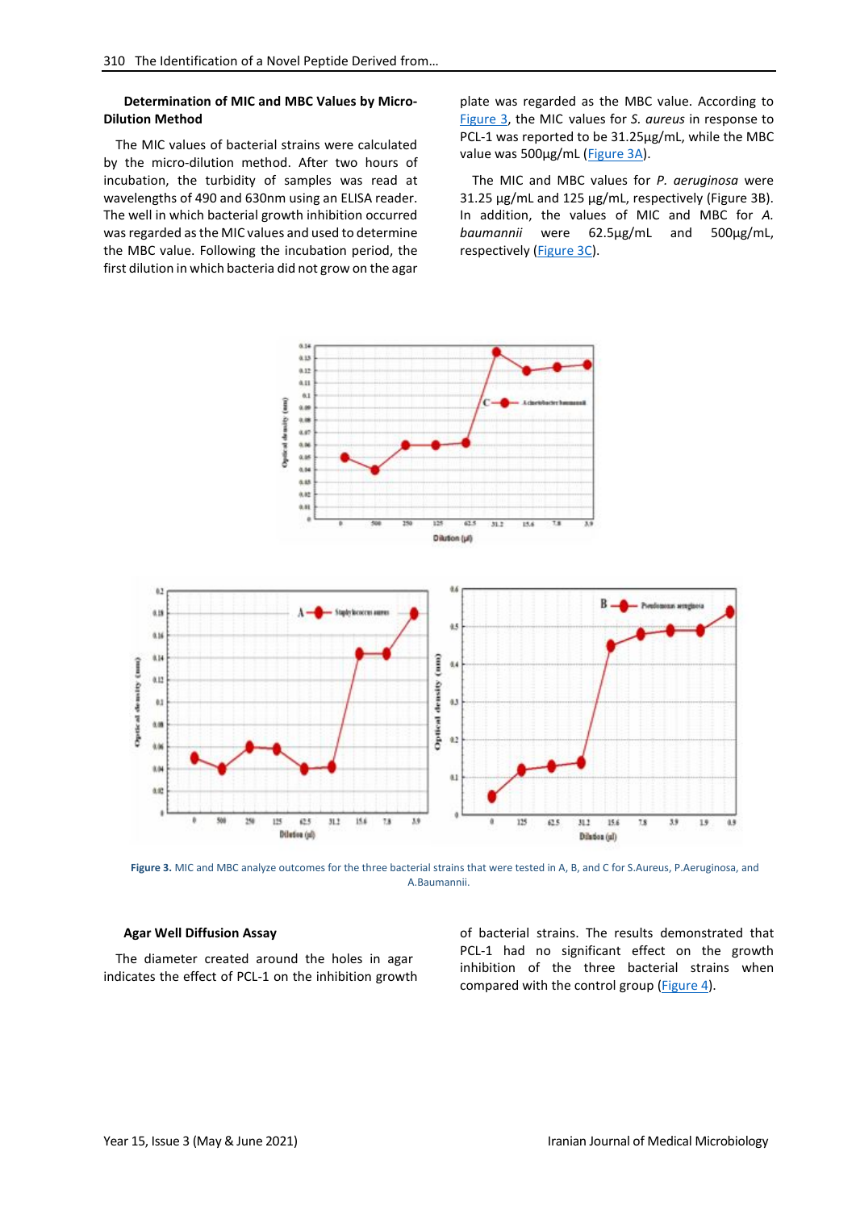#### **Determination of MIC and MBC Values by Micro-Dilution Method**

The MIC values of bacterial strains were calculated by the micro-dilution method. After two hours of incubation, the turbidity of samples was read at wavelengths of 490 and 630nm using an ELISA reader. The well in which bacterial growth inhibition occurred was regarded as the MIC values and used to determine the MBC value. Following the incubation period, the first dilution in which bacteria did not grow on the agar

plate was regarded as the MBC value. According to [Figure 3,](#page-8-0) the MIC values for *S. aureus* in response to PCL-1 was reported to be 31.25µg/mL, while the MBC value was 500µg/mL [\(Figure](#page-8-0) 3A).

The MIC and MBC values for *P. aeruginosa* were 31.25 µg/mL and 125 µg/mL, respectively (Figure 3B). In addition, the values of MIC and MBC for *A. baumannii* were 62.5µg/mL and 500µg/mL, respectively [\(Figure](#page-8-0) 3C).



<span id="page-8-0"></span>**Figure 3.** MIC and MBC analyze outcomes for the three bacterial strains that were tested in A, B, and C for S.Aureus, P.Aeruginosa, and A.Baumannii.

#### **Agar Well Diffusion Assay**

The diameter created around the holes in agar indicates the effect of PCL-1 on the inhibition growth of bacterial strains. The results demonstrated that PCL-1 had no significant effect on the growth inhibition of the three bacterial strains when compared with the control group [\(Figure](#page-9-0) 4).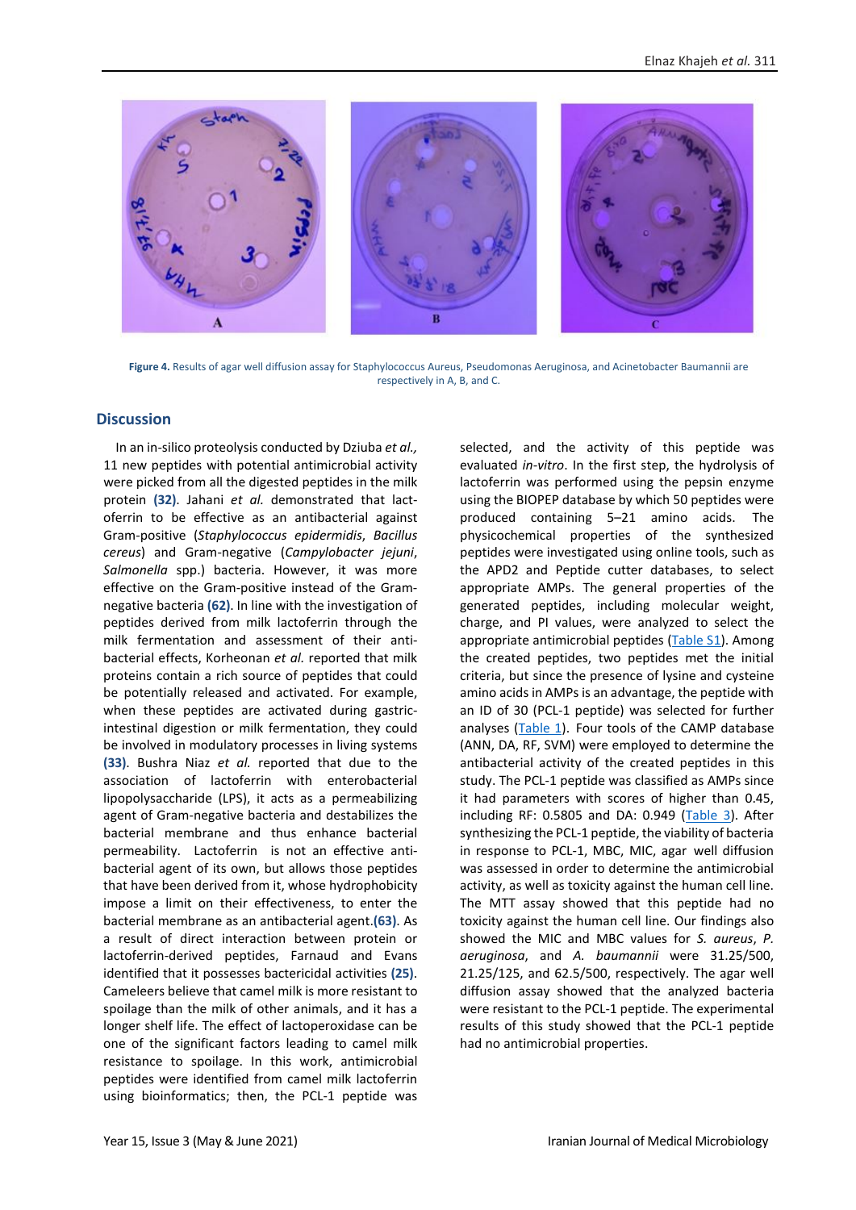

**Figure 4.** Results of agar well diffusion assay for Staphylococcus Aureus, Pseudomonas Aeruginosa, and Acinetobacter Baumannii are respectively in A, B, and C.

#### <span id="page-9-0"></span>**Discussion**

In an in-silico proteolysis conducted by Dziuba *et al.,* 11 new peptides with potential antimicrobial activity were picked from all the digested peptides in the milk protein **(32)**. Jahani *et al.* demonstrated that lactoferrin to be effective as an antibacterial against Gram-positive (*Staphylococcus epidermidis*, *Bacillus cereus*) and Gram-negative (*Campylobacter jejuni*, *Salmonella* spp.) bacteria. However, it was more effective on the Gram-positive instead of the Gramnegative bacteria **(62)**. In line with the investigation of peptides derived from milk lactoferrin through the milk fermentation and assessment of their antibacterial effects, Korheonan *et al.* reported that milk proteins contain a rich source of peptides that could be potentially released and activated. For example, when these peptides are activated during gastricintestinal digestion or milk fermentation, they could be involved in modulatory processes in living systems **(33)**. Bushra Niaz *et al.* reported that due to the association of lactoferrin with enterobacterial lipopolysaccharide (LPS), it acts as a permeabilizing agent of Gram-negative bacteria and destabilizes the bacterial membrane and thus enhance bacterial permeability. Lactoferrin is not an effective antibacterial agent of its own, but allows those peptides that have been derived from it, whose hydrophobicity impose a limit on their effectiveness, to enter the bacterial membrane as an antibacterial agent.**(63)**. As a result of direct interaction between protein or lactoferrin-derived peptides, Farnaud and Evans identified that it possesses bactericidal activities **(25)**. Cameleers believe that camel milk is more resistant to spoilage than the milk of other animals, and it has a longer shelf life. The effect of lactoperoxidase can be one of the significant factors leading to camel milk resistance to spoilage. In this work, antimicrobial peptides were identified from camel milk lactoferrin using bioinformatics; then, the PCL-1 peptide was

selected, and the activity of this peptide was evaluated *in-vitro*. In the first step, the hydrolysis of lactoferrin was performed using the pepsin enzyme using the BIOPEP database by which 50 peptides were produced containing 5–21 amino acids. The physicochemical properties of the synthesized peptides were investigated using online tools, such as the APD2 and Peptide cutter databases, to select appropriate AMPs. The general properties of the generated peptides, including molecular weight, charge, and PI values, were analyzed to select the appropriate antimicrobial peptides [\(Table S1\)](#page-4-0). Among the created peptides, two peptides met the initial criteria, but since the presence of lysine and cysteine amino acids in AMPs is an advantage, the peptide with an ID of 30 (PCL-1 peptide) was selected for further analyses  $(Table 1)$ . Four tools of the CAMP database (ANN, DA, RF, SVM) were employed to determine the antibacterial activity of the created peptides in this study. The PCL-1 peptide was classified as AMPs since it had parameters with scores of higher than 0.45, including RF:  $0.5805$  and DA:  $0.949$  [\(Table 3\)](#page-7-2). After synthesizing the PCL-1 peptide, the viability of bacteria in response to PCL-1, MBC, MIC, agar well diffusion was assessed in order to determine the antimicrobial activity, as well as toxicity against the human cell line. The MTT assay showed that this peptide had no toxicity against the human cell line. Our findings also showed the MIC and MBC values for *S. aureus*, *P. aeruginosa*, and *A. baumannii* were 31.25/500, 21.25/125, and 62.5/500, respectively. The agar well diffusion assay showed that the analyzed bacteria were resistant to the PCL-1 peptide. The experimental results of this study showed that the PCL-1 peptide had no antimicrobial properties.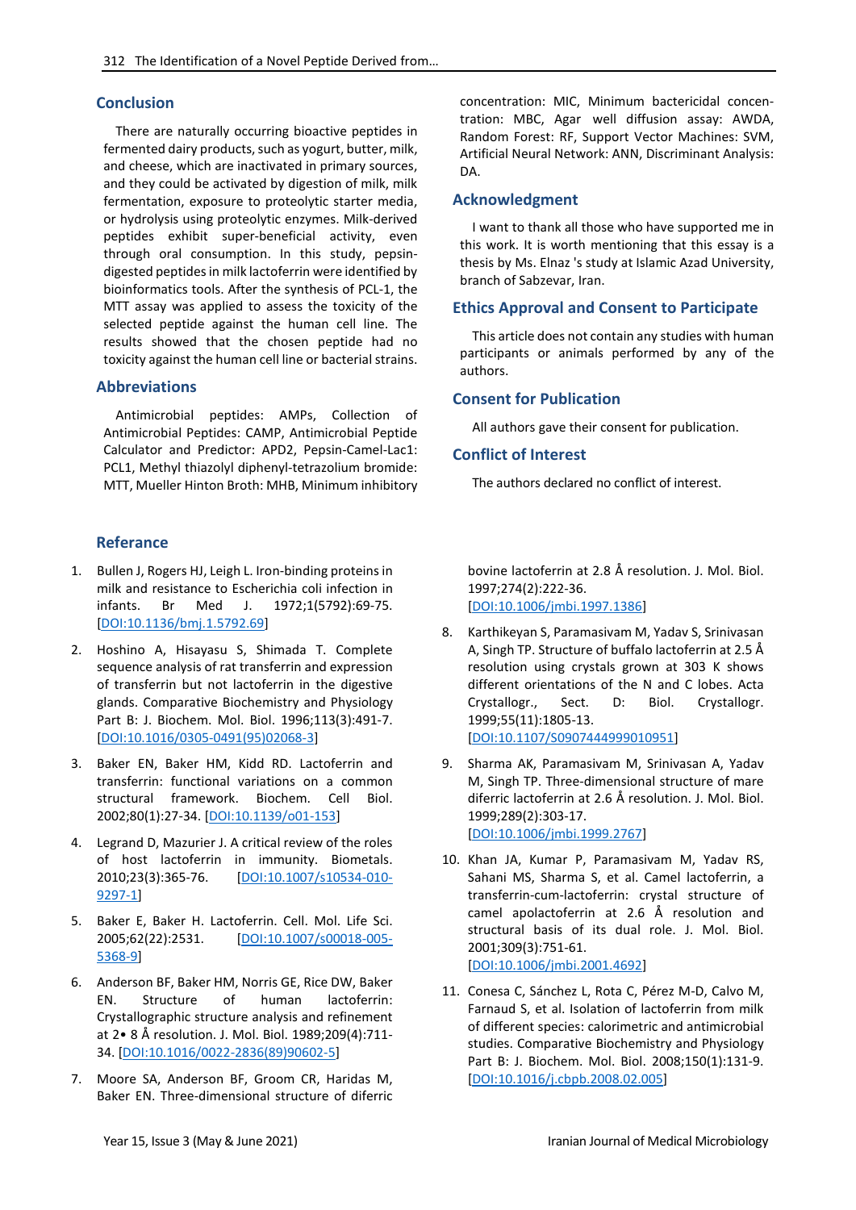#### **Conclusion**

There are naturally occurring bioactive peptides in fermented dairy products, such as yogurt, butter, milk, and cheese, which are inactivated in primary sources, and they could be activated by digestion of milk, milk fermentation, exposure to proteolytic starter media, or hydrolysis using proteolytic enzymes. Milk-derived peptides exhibit super-beneficial activity, even through oral consumption. In this study, pepsindigested peptides in milk lactoferrin were identified by bioinformatics tools. After the synthesis of PCL-1, the MTT assay was applied to assess the toxicity of the selected peptide against the human cell line. The results showed that the chosen peptide had no toxicity against the human cell line or bacterial strains.

#### **Abbreviations**

Antimicrobial peptides: AMPs, Collection of Antimicrobial Peptides: CAMP, Antimicrobial Peptide Calculator and Predictor: APD2, Pepsin-Camel-Lac1: PCL1, Methyl thiazolyl diphenyl-tetrazolium bromide: MTT, Mueller Hinton Broth: MHB, Minimum inhibitory

### **Referance**

- 1. Bullen J, Rogers HJ, Leigh L. Iron-binding proteins in milk and resistance to Escherichia coli infection in infants. Br Med J. 1972;1(5792):69-75. [\[DOI:10.1136/bmj.1.5792.69\]](https://doi.org/10.1136/bmj.1.5792.69)
- 2. Hoshino A, Hisayasu S, Shimada T. Complete sequence analysis of rat transferrin and expression of transferrin but not lactoferrin in the digestive glands. Comparative Biochemistry and Physiology Part B: J. Biochem. Mol. Biol. 1996;113(3):491-7. [\[DOI:10.1016/0305-0491\(95\)02068-3\]](https://doi.org/10.1016/0305-0491(95)02068-3)
- 3. Baker EN, Baker HM, Kidd RD. Lactoferrin and transferrin: functional variations on a common structural framework. Biochem. Cell Biol. 2002;80(1):27-34. [\[DOI:10.1139/o01-153\]](https://doi.org/10.1139/o01-153)
- 4. Legrand D, Mazurier J. A critical review of the roles of host lactoferrin in immunity. Biometals. 2010;23(3):365-76. [\[DOI:10.1007/s10534-010-](https://doi.org/10.1007/s10534-010-9297-1) [9297-1\]](https://doi.org/10.1007/s10534-010-9297-1)
- 5. Baker E, Baker H. Lactoferrin. Cell. Mol. Life Sci. 2005;62(22):2531. [\[DOI:10.1007/s00018-005-](https://doi.org/10.1007/s00018-005-5368-9) [5368-9\]](https://doi.org/10.1007/s00018-005-5368-9)
- 6. Anderson BF, Baker HM, Norris GE, Rice DW, Baker EN. Structure of human lactoferrin: Crystallographic structure analysis and refinement at 2• 8 Å resolution. J. Mol. Biol. 1989;209(4):711- 34. [\[DOI:10.1016/0022-2836\(89\)90602-5\]](https://doi.org/10.1016/0022-2836(89)90602-5)
- 7. Moore SA, Anderson BF, Groom CR, Haridas M, Baker EN. Three-dimensional structure of diferric

concentration: MIC, Minimum bactericidal concentration: MBC, Agar well diffusion assay: AWDA, Random Forest: RF, Support Vector Machines: SVM, Artificial Neural Network: ANN, Discriminant Analysis: DA.

#### **Acknowledgment**

I want to thank all those who have supported me in this work. It is worth mentioning that this essay is a thesis by Ms. Elnaz 's study at Islamic Azad University, branch of Sabzevar, Iran.

#### **Ethics Approval and Consent to Participate**

This article does not contain any studies with human participants or animals performed by any of the authors.

#### **Consent for Publication**

All authors gave their consent for publication.

#### **Conflict of Interest**

The authors declared no conflict of interest.

bovine lactoferrin at 2.8 Å resolution. J. Mol. Biol. 1997;274(2):222-36. [\[DOI:10.1006/jmbi.1997.1386\]](https://doi.org/10.1006/jmbi.1997.1386)

- 8. Karthikeyan S, Paramasivam M, Yadav S, Srinivasan A, Singh TP. Structure of buffalo lactoferrin at 2.5 Å resolution using crystals grown at 303 K shows different orientations of the N and C lobes. Acta Crystallogr., Sect. D: Biol. Crystallogr. 1999;55(11):1805-13. [\[DOI:10.1107/S0907444999010951\]](https://doi.org/10.1107/S0907444999010951)
- 9. Sharma AK, Paramasivam M, Srinivasan A, Yadav M, Singh TP. Three-dimensional structure of mare diferric lactoferrin at 2.6 Å resolution. J. Mol. Biol. 1999;289(2):303-17. [\[DOI:10.1006/jmbi.1999.2767\]](https://doi.org/10.1006/jmbi.1999.2767)
- 10. Khan JA, Kumar P, Paramasivam M, Yadav RS, Sahani MS, Sharma S, et al. Camel lactoferrin, a transferrin-cum-lactoferrin: crystal structure of camel apolactoferrin at 2.6 Å resolution and structural basis of its dual role. J. Mol. Biol. 2001;309(3):751-61. [\[DOI:10.1006/jmbi.2001.4692\]](https://doi.org/10.1006/jmbi.2001.4692)
- 11. Conesa C, Sánchez L, Rota C, Pérez M-D, Calvo M, Farnaud S, et al. Isolation of lactoferrin from milk of different species: calorimetric and antimicrobial studies. Comparative Biochemistry and Physiology Part B: J. Biochem. Mol. Biol. 2008;150(1):131-9. [\[DOI:10.1016/j.cbpb.2008.02.005\]](https://doi.org/10.1016/j.cbpb.2008.02.005)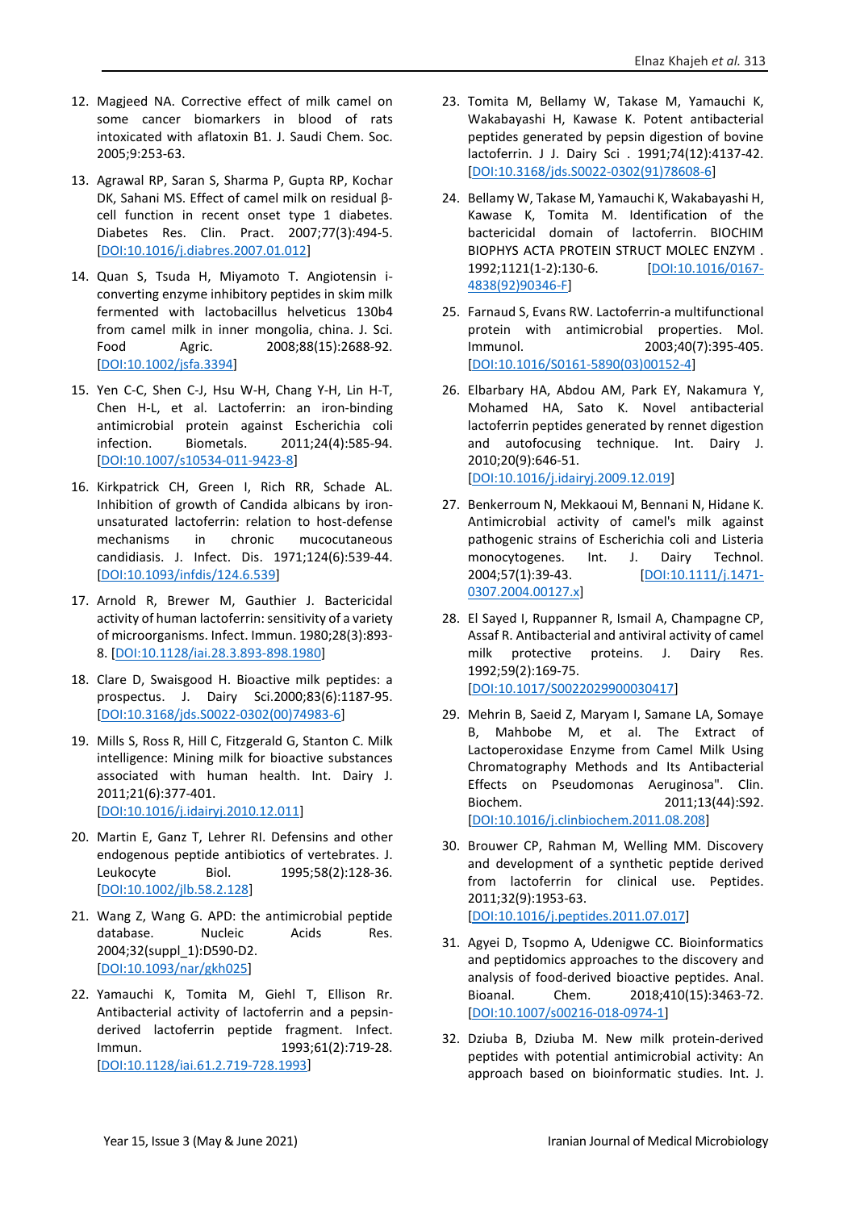- 12. Magjeed NA. Corrective effect of milk camel on some cancer biomarkers in blood of rats intoxicated with aflatoxin B1. J. Saudi Chem. Soc. 2005;9:253-63.
- 13. Agrawal RP, Saran S, Sharma P, Gupta RP, Kochar DK, Sahani MS. Effect of camel milk on residual βcell function in recent onset type 1 diabetes. Diabetes Res. Clin. Pract. 2007;77(3):494-5. [\[DOI:10.1016/j.diabres.2007.01.012\]](https://doi.org/10.1016/j.diabres.2007.01.012)
- 14. Quan S, Tsuda H, Miyamoto T. Angiotensin iconverting enzyme inhibitory peptides in skim milk fermented with lactobacillus helveticus 130b4 from camel milk in inner mongolia, china. J. Sci. Food Agric. 2008;88(15):2688-92. [\[DOI:10.1002/jsfa.3394\]](https://doi.org/10.1002/jsfa.3394)
- 15. Yen C-C, Shen C-J, Hsu W-H, Chang Y-H, Lin H-T, Chen H-L, et al. Lactoferrin: an iron-binding antimicrobial protein against Escherichia coli infection. Biometals. 2011;24(4):585-94. [\[DOI:10.1007/s10534-011-9423-8\]](https://doi.org/10.1007/s10534-011-9423-8)
- 16. Kirkpatrick CH, Green I, Rich RR, Schade AL. Inhibition of growth of Candida albicans by ironunsaturated lactoferrin: relation to host-defense mechanisms in chronic mucocutaneous candidiasis. J. Infect. Dis. 1971;124(6):539-44. [\[DOI:10.1093/infdis/124.6.539\]](https://doi.org/10.1093/infdis/124.6.539)
- 17. Arnold R, Brewer M, Gauthier J. Bactericidal activity of human lactoferrin: sensitivity of a variety of microorganisms. Infect. Immun. 1980;28(3):893- 8. [\[DOI:10.1128/iai.28.3.893-898.1980\]](https://doi.org/10.1128/iai.28.3.893-898.1980)
- 18. Clare D, Swaisgood H. Bioactive milk peptides: a prospectus. J. Dairy Sci.2000;83(6):1187-95. [\[DOI:10.3168/jds.S0022-0302\(00\)74983-6\]](https://doi.org/10.3168/jds.S0022-0302(00)74983-6)
- 19. Mills S, Ross R, Hill C, Fitzgerald G, Stanton C. Milk intelligence: Mining milk for bioactive substances associated with human health. Int. Dairy J. 2011;21(6):377-401. [\[DOI:10.1016/j.idairyj.2010.12.011\]](https://doi.org/10.1016/j.idairyj.2010.12.011)
- 20. Martin E, Ganz T, Lehrer RI. Defensins and other endogenous peptide antibiotics of vertebrates. J. Leukocyte Biol. 1995;58(2):128-36. [\[DOI:10.1002/jlb.58.2.128\]](https://doi.org/10.1002/jlb.58.2.128)
- 21. Wang Z, Wang G. APD: the antimicrobial peptide database. Nucleic Acids Res. 2004;32(suppl\_1):D590-D2. [\[DOI:10.1093/nar/gkh025\]](https://doi.org/10.1093/nar/gkh025)
- 22. Yamauchi K, Tomita M, Giehl T, Ellison Rr. Antibacterial activity of lactoferrin and a pepsinderived lactoferrin peptide fragment. Infect. Immun. 1993;61(2):719-28. [\[DOI:10.1128/iai.61.2.719-728.1993\]](https://doi.org/10.1128/iai.61.2.719-728.1993)
- 23. Tomita M, Bellamy W, Takase M, Yamauchi K, Wakabayashi H, Kawase K. Potent antibacterial peptides generated by pepsin digestion of bovine lactoferrin. J J. Dairy Sci . 1991;74(12):4137-42. [\[DOI:10.3168/jds.S0022-0302\(91\)78608-6\]](https://doi.org/10.3168/jds.S0022-0302(91)78608-6)
- 24. Bellamy W, Takase M, Yamauchi K, Wakabayashi H, Kawase K, Tomita M. Identification of the bactericidal domain of lactoferrin. BIOCHIM BIOPHYS ACTA PROTEIN STRUCT MOLEC ENZYM . 1992;1121(1-2):130-6. [\[DOI:10.1016/0167-](https://doi.org/10.1016/0167-4838(92)90346-F) [4838\(92\)90346-F\]](https://doi.org/10.1016/0167-4838(92)90346-F)
- 25. Farnaud S, Evans RW. Lactoferrin-a multifunctional protein with antimicrobial properties. Mol. Immunol. 2003;40(7):395-405. [\[DOI:10.1016/S0161-5890\(03\)00152-4\]](https://doi.org/10.1016/S0161-5890(03)00152-4)
- 26. Elbarbary HA, Abdou AM, Park EY, Nakamura Y, Mohamed HA, Sato K. Novel antibacterial lactoferrin peptides generated by rennet digestion and autofocusing technique. Int. Dairy J. 2010;20(9):646-51. [\[DOI:10.1016/j.idairyj.2009.12.019\]](https://doi.org/10.1016/j.idairyj.2009.12.019)
- 27. Benkerroum N, Mekkaoui M, Bennani N, Hidane K. Antimicrobial activity of camel's milk against pathogenic strains of Escherichia coli and Listeria monocytogenes. Int. J. Dairy Technol. 2004;57(1):39-43. [\[DOI:10.1111/j.1471-](https://doi.org/10.1111/j.1471-0307.2004.00127.x) [0307.2004.00127.x\]](https://doi.org/10.1111/j.1471-0307.2004.00127.x)
- 28. El Sayed I, Ruppanner R, Ismail A, Champagne CP, Assaf R. Antibacterial and antiviral activity of camel milk protective proteins. J. Dairy Res. 1992;59(2):169-75. [\[DOI:10.1017/S0022029900030417\]](https://doi.org/10.1017/S0022029900030417)
- 29. Mehrin B, Saeid Z, Maryam I, Samane LA, Somaye B, Mahbobe M, et al. The Extract of Lactoperoxidase Enzyme from Camel Milk Using Chromatography Methods and Its Antibacterial Effects on Pseudomonas Aeruginosa". Clin. Biochem. 2011;13(44):S92. [\[DOI:10.1016/j.clinbiochem.2011.08.208\]](https://doi.org/10.1016/j.clinbiochem.2011.08.208)
- 30. Brouwer CP, Rahman M, Welling MM. Discovery and development of a synthetic peptide derived from lactoferrin for clinical use. Peptides. 2011;32(9):1953-63. [\[DOI:10.1016/j.peptides.2011.07.017\]](https://doi.org/10.1016/j.peptides.2011.07.017)
- 31. Agyei D, Tsopmo A, Udenigwe CC. Bioinformatics and peptidomics approaches to the discovery and analysis of food-derived bioactive peptides. Anal. Bioanal. Chem. 2018;410(15):3463-72. [\[DOI:10.1007/s00216-018-0974-1\]](https://doi.org/10.1007/s00216-018-0974-1)
- 32. Dziuba B, Dziuba M. New milk protein-derived peptides with potential antimicrobial activity: An approach based on bioinformatic studies. Int. J.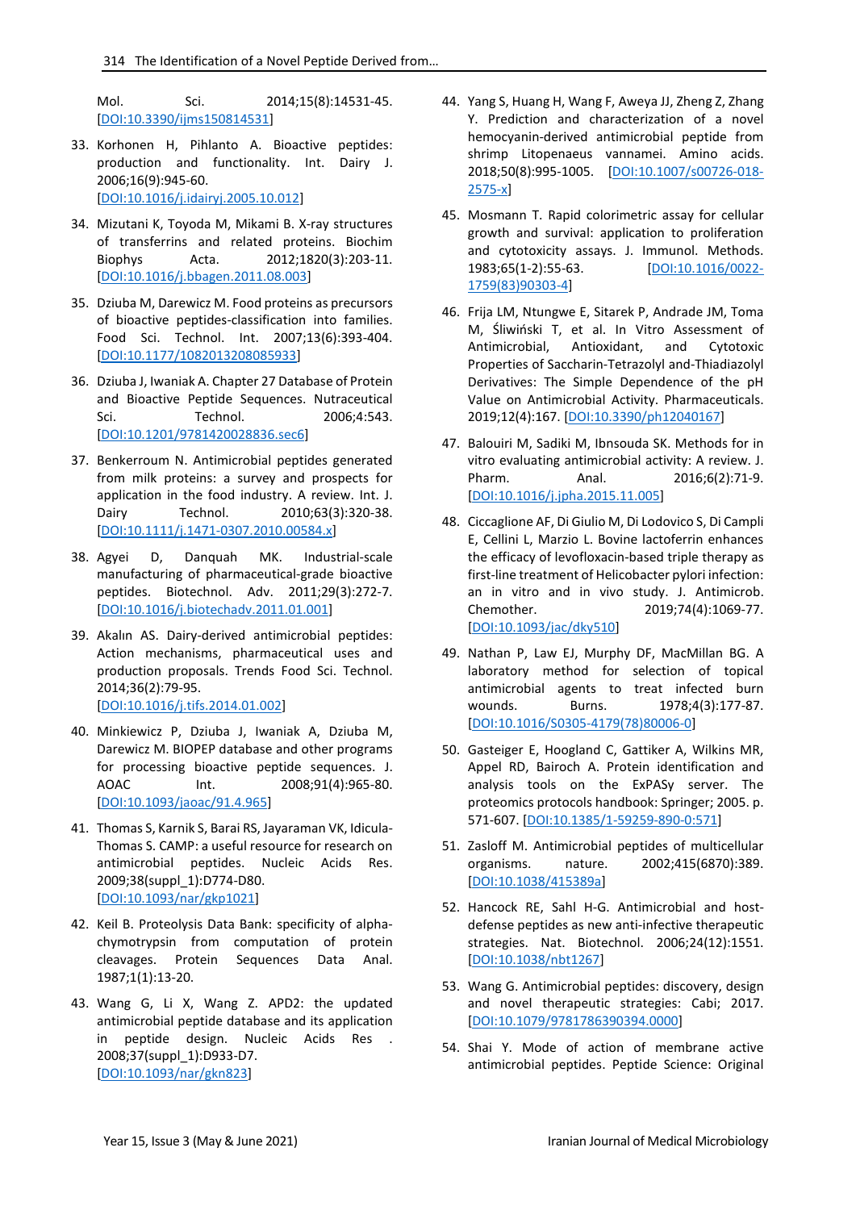Mol. Sci. 2014;15(8):14531-45. [\[DOI:10.3390/ijms150814531\]](https://doi.org/10.3390/ijms150814531)

- 33. Korhonen H, Pihlanto A. Bioactive peptides: production and functionality. Int. Dairy J. 2006;16(9):945-60. [\[DOI:10.1016/j.idairyj.2005.10.012\]](https://doi.org/10.1016/j.idairyj.2005.10.012)
- 34. Mizutani K, Toyoda M, Mikami B. X-ray structures of transferrins and related proteins. Biochim Biophys Acta. 2012;1820(3):203-11. [\[DOI:10.1016/j.bbagen.2011.08.003\]](https://doi.org/10.1016/j.bbagen.2011.08.003)
- 35. Dziuba M, Darewicz M. Food proteins as precursors of bioactive peptides-classification into families. Food Sci. Technol. Int. 2007;13(6):393-404. [\[DOI:10.1177/1082013208085933\]](https://doi.org/10.1177/1082013208085933)
- 36. Dziuba J, Iwaniak A. Chapter 27 Database of Protein and Bioactive Peptide Sequences. Nutraceutical Sci. Technol. 2006;4:543. [\[DOI:10.1201/9781420028836.sec6\]](https://doi.org/10.1201/9781420028836.sec6)
- 37. Benkerroum N. Antimicrobial peptides generated from milk proteins: a survey and prospects for application in the food industry. A review. Int. J. Dairy Technol. 2010;63(3):320-38. [\[DOI:10.1111/j.1471-0307.2010.00584.x\]](https://doi.org/10.1111/j.1471-0307.2010.00584.x)
- 38. Agyei D, Danquah MK. Industrial-scale manufacturing of pharmaceutical-grade bioactive peptides. Biotechnol. Adv. 2011;29(3):272-7. [\[DOI:10.1016/j.biotechadv.2011.01.001\]](https://doi.org/10.1016/j.biotechadv.2011.01.001)
- 39. Akalın AS. Dairy-derived antimicrobial peptides: Action mechanisms, pharmaceutical uses and production proposals. Trends Food Sci. Technol. 2014;36(2):79-95. [\[DOI:10.1016/j.tifs.2014.01.002\]](https://doi.org/10.1016/j.tifs.2014.01.002)
- 40. Minkiewicz P, Dziuba J, Iwaniak A, Dziuba M, Darewicz M. BIOPEP database and other programs for processing bioactive peptide sequences. J. AOAC Int. 2008;91(4):965-80. [\[DOI:10.1093/jaoac/91.4.965\]](https://doi.org/10.1093/jaoac/91.4.965)
- 41. Thomas S, Karnik S, Barai RS, Jayaraman VK, Idicula-Thomas S. CAMP: a useful resource for research on antimicrobial peptides. Nucleic Acids Res. 2009;38(suppl\_1):D774-D80. [\[DOI:10.1093/nar/gkp1021\]](https://doi.org/10.1093/nar/gkp1021)
- 42. Keil B. Proteolysis Data Bank: specificity of alphachymotrypsin from computation of protein cleavages. Protein Sequences Data Anal. 1987;1(1):13-20.
- 43. Wang G, Li X, Wang Z. APD2: the updated antimicrobial peptide database and its application in peptide design. Nucleic Acids Res . 2008;37(suppl\_1):D933-D7. [\[DOI:10.1093/nar/gkn823\]](https://doi.org/10.1093/nar/gkn823)
- 44. Yang S, Huang H, Wang F, Aweya JJ, Zheng Z, Zhang Y. Prediction and characterization of a novel hemocyanin-derived antimicrobial peptide from shrimp Litopenaeus vannamei. Amino acids. 2018;50(8):995-1005. [\[DOI:10.1007/s00726-018-](https://doi.org/10.1007/s00726-018-2575-x) [2575-x\]](https://doi.org/10.1007/s00726-018-2575-x)
- 45. Mosmann T. Rapid colorimetric assay for cellular growth and survival: application to proliferation and cytotoxicity assays. J. Immunol. Methods. 1983;65(1-2):55-63. [\[DOI:10.1016/0022-](https://doi.org/10.1016/0022-1759(83)90303-4) [1759\(83\)90303-4\]](https://doi.org/10.1016/0022-1759(83)90303-4)
- 46. Frija LM, Ntungwe E, Sitarek P, Andrade JM, Toma M, Śliwiński T, et al. In Vitro Assessment of Antimicrobial, Antioxidant, and Cytotoxic Properties of Saccharin-Tetrazolyl and-Thiadiazolyl Derivatives: The Simple Dependence of the pH Value on Antimicrobial Activity. Pharmaceuticals. 2019;12(4):167. [\[DOI:10.3390/ph12040167\]](https://doi.org/10.3390/ph12040167)
- 47. Balouiri M, Sadiki M, Ibnsouda SK. Methods for in vitro evaluating antimicrobial activity: A review. J. Pharm. Anal. 2016;6(2):71-9. [\[DOI:10.1016/j.jpha.2015.11.005\]](https://doi.org/10.1016/j.jpha.2015.11.005)
- 48. Ciccaglione AF, Di Giulio M, Di Lodovico S, Di Campli E, Cellini L, Marzio L. Bovine lactoferrin enhances the efficacy of levofloxacin-based triple therapy as first-line treatment of Helicobacter pylori infection: an in vitro and in vivo study. J. Antimicrob. Chemother. 2019;74(4):1069-77. [\[DOI:10.1093/jac/dky510\]](https://doi.org/10.1093/jac/dky510)
- 49. Nathan P, Law EJ, Murphy DF, MacMillan BG. A laboratory method for selection of topical antimicrobial agents to treat infected burn wounds. Burns. 1978;4(3):177-87. [\[DOI:10.1016/S0305-4179\(78\)80006-0\]](https://doi.org/10.1016/S0305-4179(78)80006-0)
- 50. Gasteiger E, Hoogland C, Gattiker A, Wilkins MR, Appel RD, Bairoch A. Protein identification and analysis tools on the ExPASy server. The proteomics protocols handbook: Springer; 2005. p. 571-607. [\[DOI:10.1385/1-59259-890-0:571\]](https://doi.org/10.1385/1-59259-890-0:571)
- 51. Zasloff M. Antimicrobial peptides of multicellular organisms. nature. 2002;415(6870):389. [\[DOI:10.1038/415389a\]](https://doi.org/10.1038/415389a)
- 52. Hancock RE, Sahl H-G. Antimicrobial and hostdefense peptides as new anti-infective therapeutic strategies. Nat. Biotechnol. 2006;24(12):1551. [\[DOI:10.1038/nbt1267\]](https://doi.org/10.1038/nbt1267)
- 53. Wang G. Antimicrobial peptides: discovery, design and novel therapeutic strategies: Cabi; 2017. [\[DOI:10.1079/9781786390394.0000\]](https://doi.org/10.1079/9781786390394.0000)
- 54. Shai Y. Mode of action of membrane active antimicrobial peptides. Peptide Science: Original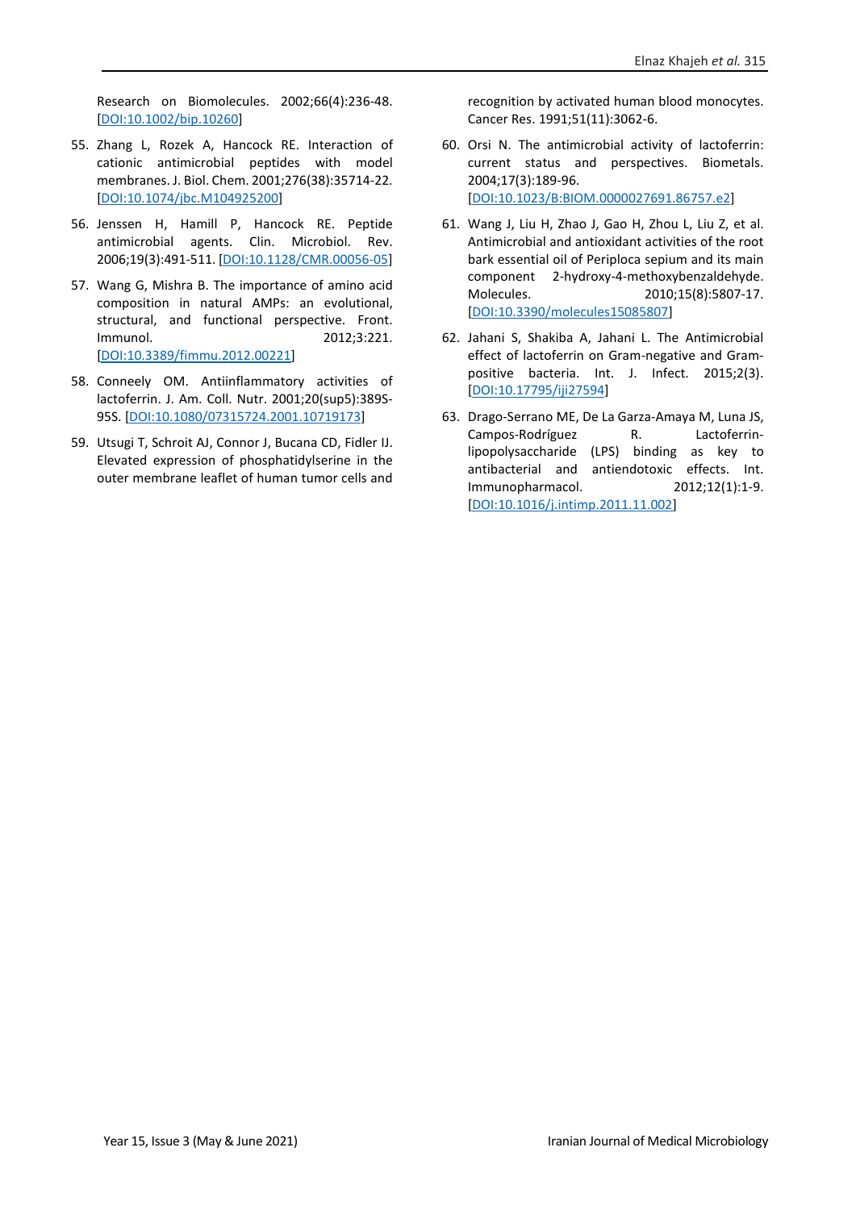Research on Biomolecules. 2002;66(4):236-48. [\[DOI:10.1002/bip.10260\]](https://doi.org/10.1002/bip.10260)

- 55. Zhang L, Rozek A, Hancock RE. Interaction of cationic antimicrobial peptides with model membranes. J. Biol. Chem. 2001;276(38):35714-22. [\[DOI:10.1074/jbc.M104925200\]](https://doi.org/10.1074/jbc.M104925200)
- 56. Jenssen H, Hamill P, Hancock RE. Peptide antimicrobial agents. Clin. Microbiol. Rev. 2006;19(3):491-511. [\[DOI:10.1128/CMR.00056-05\]](https://doi.org/10.1128/CMR.00056-05)
- 57. Wang G, Mishra B. The importance of amino acid composition in natural AMPs: an evolutional, structural, and functional perspective. Front. Immunol. 2012;3:221. [\[DOI:10.3389/fimmu.2012.00221\]](https://doi.org/10.3389/fimmu.2012.00221)
- 58. Conneely OM. Antiinflammatory activities of lactoferrin. J. Am. Coll. Nutr. 2001;20(sup5):389S-95S. [\[DOI:10.1080/07315724.2001.10719173\]](https://doi.org/10.1080/07315724.2001.10719173)
- 59. Utsugi T, Schroit AJ, Connor J, Bucana CD, Fidler IJ. Elevated expression of phosphatidylserine in the outer membrane leaflet of human tumor cells and

recognition by activated human blood monocytes. Cancer Res. 1991;51(11):3062-6.

- 60. Orsi N. The antimicrobial activity of lactoferrin: current status and perspectives. Biometals. 2004;17(3):189-96. [\[DOI:10.1023/B:BIOM.0000027691.86757.e2\]](https://doi.org/10.1023/B:BIOM.0000027691.86757.e2)
- 61. Wang J, Liu H, Zhao J, Gao H, Zhou L, Liu Z, et al. Antimicrobial and antioxidant activities of the root bark essential oil of Periploca sepium and its main component 2-hydroxy-4-methoxybenzaldehyde. Molecules. 2010;15(8):5807-17. [\[DOI:10.3390/molecules15085807\]](https://doi.org/10.3390/molecules15085807)
- 62. Jahani S, Shakiba A, Jahani L. The Antimicrobial effect of lactoferrin on Gram-negative and Grampositive bacteria. Int. J. Infect. 2015;2(3). [\[DOI:10.17795/iji27594\]](https://doi.org/10.17795/iji27594)
- 63. Drago-Serrano ME, De La Garza-Amaya M, Luna JS, Campos-Rodríguez R. Lactoferrinlipopolysaccharide (LPS) binding as key to antibacterial and antiendotoxic effects. Int. Immunopharmacol. 2012;12(1):1-9. [\[DOI:10.1016/j.intimp.2011.11.002\]](https://doi.org/10.1016/j.intimp.2011.11.002)